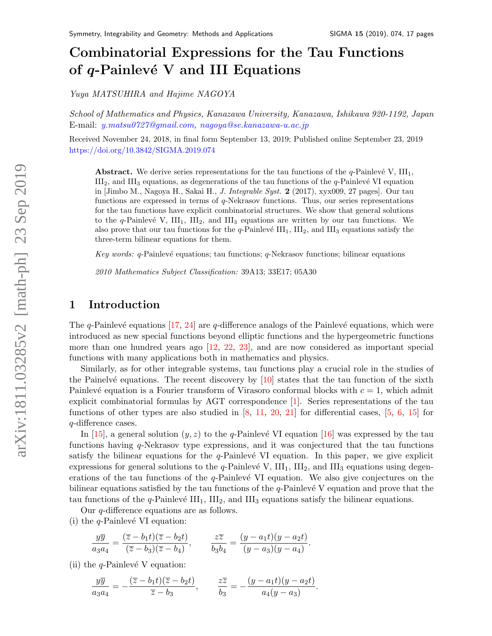# Combinatorial Expressions for the Tau Functions of  $q$ -Painlevé V and III Equations

Yuya MATSUHIRA and Hajime NAGOYA

School of Mathematics and Physics, Kanazawa University, Kanazawa, Ishikawa 920-1192, Japan E-mail: [y.matsu0727@gmail.com,](mailto:y.matsu0727@gmail.com) [nagoya@se.kanazawa-u.ac.jp](mailto:nagoya@se.kanazawa-u.ac.jp)

Received November 24, 2018, in final form September 13, 2019; Published online September 23, 2019 <https://doi.org/10.3842/SIGMA.2019.074>

**Abstract.** We derive series representations for the tau functions of the  $q$ -Painlevé V,  $III_1$ ,  $III<sub>2</sub>$ , and  $III<sub>3</sub>$  equations, as degenerations of the tau functions of the q-Painlevé VI equation in [Jimbo M., Nagoya H., Sakai H., J. Integrable Syst. 2 (2017), xyx009, 27 pages]. Our tau functions are expressed in terms of q-Nekrasov functions. Thus, our series representations for the tau functions have explicit combinatorial structures. We show that general solutions to the q-Painlevé V,  $III_1$ ,  $III_2$ , and  $III_3$  equations are written by our tau functions. We also prove that our tau functions for the  $q$ -Painlevé  $III_1$ ,  $III_2$ , and  $III_3$  equations satisfy the three-term bilinear equations for them.

Key words: q-Painlevé equations; tau functions; q-Nekrasov functions; bilinear equations

2010 Mathematics Subject Classification: 39A13; 33E17; 05A30

## 1 Introduction

The q-Painlevé equations  $[17, 24]$  $[17, 24]$  are q-difference analogs of the Painlevé equations, which were introduced as new special functions beyond elliptic functions and the hypergeometric functions more than one hundred years ago [\[12,](#page-16-2) [22,](#page-16-3) [23\]](#page-16-4), and are now considered as important special functions with many applications both in mathematics and physics.

Similarly, as for other integrable systems, tau functions play a crucial role in the studies of the Painelvé equations. The recent discovery by  $[10]$  states that the tau function of the sixth Painlevé equation is a Fourier transform of Virasoro conformal blocks with  $c = 1$ , which admit explicit combinatorial formulas by AGT correspondence [\[1\]](#page-15-0). Series representations of the tau functions of other types are also studied in  $[8, 11, 20, 21]$  $[8, 11, 20, 21]$  $[8, 11, 20, 21]$  $[8, 11, 20, 21]$  $[8, 11, 20, 21]$  $[8, 11, 20, 21]$  for differential cases,  $[5, 6, 15]$  $[5, 6, 15]$  $[5, 6, 15]$  $[5, 6, 15]$  for q-difference cases.

In [\[15\]](#page-16-9), a general solution  $(y, z)$  to the q-Painlevé VI equation [\[16\]](#page-16-10) was expressed by the tau functions having q-Nekrasov type expressions, and it was conjectured that the tau functions satisfy the bilinear equations for the  $q$ -Painlevé VI equation. In this paper, we give explicit expressions for general solutions to the q-Painlevé V,  $III_1$ ,  $III_2$ , and  $III_3$  equations using degenerations of the tau functions of the  $q$ -Painlevé VI equation. We also give conjectures on the bilinear equations satisfied by the tau functions of the  $q$ -Painlevé V equation and prove that the tau functions of the  $q$ -Painlevé  $III_1$ ,  $III_2$ , and  $III_3$  equations satisfy the bilinear equations.

Our q-difference equations are as follows.

(i) the  $q$ -Painlevé VI equation:

$$
\frac{y\overline{y}}{a_3a_4} = \frac{(\overline{z} - b_1t)(\overline{z} - b_2t)}{(\overline{z} - b_3)(\overline{z} - b_4)}, \qquad \frac{z\overline{z}}{b_3b_4} = \frac{(y - a_1t)(y - a_2t)}{(y - a_3)(y - a_4)}.
$$

(ii) the  $q$ -Painlevé V equation:

$$
\frac{y\overline{y}}{a_3a_4} = -\frac{(\overline{z} - b_1t)(\overline{z} - b_2t)}{\overline{z} - b_3}, \qquad \frac{z\overline{z}}{b_3} = -\frac{(y - a_1t)(y - a_2t)}{a_4(y - a_3)}.
$$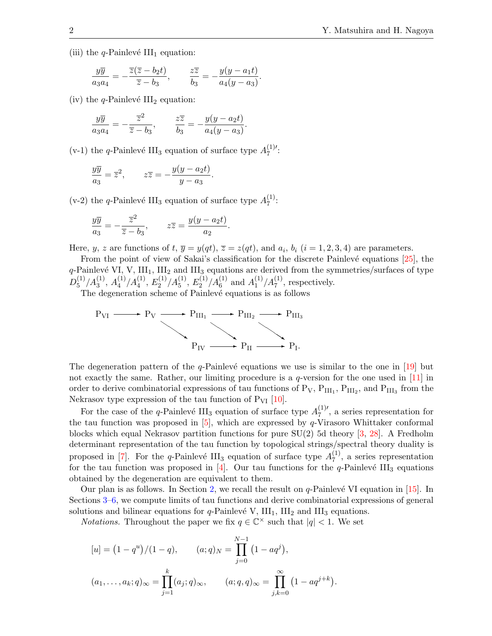(iii) the *q*-Painlevé III<sub>1</sub> equation:

$$
\frac{y\overline{y}}{a_3a_4} = -\frac{\overline{z}(\overline{z} - b_2t)}{\overline{z} - b_3}, \qquad \frac{z\overline{z}}{b_3} = -\frac{y(y - a_1t)}{a_4(y - a_3)}.
$$

(iv) the *q*-Painlevé  $III_2$  equation:

$$
\frac{y\overline{y}}{a_3a_4} = -\frac{\overline{z}^2}{\overline{z} - b_3}, \qquad \frac{z\overline{z}}{b_3} = -\frac{y(y - a_2t)}{a_4(y - a_3)}.
$$

(v-1) the q-Painlevé III<sub>3</sub> equation of surface type  $A_7^{(1)}$  $\frac{(1)'}{7}$ :

$$
\frac{y\overline{y}}{a_3} = \overline{z}^2, \qquad z\overline{z} = -\frac{y(y - a_2t)}{y - a_3}.
$$

(v-2) the q-Painlevé III<sub>3</sub> equation of surface type  $A_7^{(1)}$  $\frac{(1)}{7}$ :

$$
\frac{y\overline{y}}{a_3} = -\frac{\overline{z}^2}{\overline{z} - b_3}, \qquad z\overline{z} = \frac{y(y - a_2t)}{a_2}.
$$

Here, y, z are functions of t,  $\overline{y} = y(qt)$ ,  $\overline{z} = z(qt)$ , and  $a_i$ ,  $b_i$   $(i = 1, 2, 3, 4)$  are parameters.

From the point of view of Sakai's classification for the discrete Painlevé equations  $[25]$ , the  $q$ -Painlevé VI, V, III<sub>1</sub>, III<sub>2</sub> and III<sub>3</sub> equations are derived from the symmetries/surfaces of type  $D_5^{(1)}$  $\binom{1}{5}/A_3^{(1)}, A_4^{(1)}$  $\binom{1}{4}/A_4^{(1)}, E_2^{(1)}$  $\chi_2^{(1)}/A_5^{(1)},\,E_2^{(1)}$  $A_2^{(1)}/A_6^{(1)}$  and  $A_1^{(1)}$  $\binom{1}{1}$ / $A_7^{(1)}$ , respectively.

The degeneration scheme of Painlevé equations is as follows

$$
P_{VI} \longrightarrow P_V \longrightarrow P_{III_1} \longrightarrow P_{III_2} \longrightarrow P_{III_3}
$$

$$
P_{IV} \longrightarrow P_{II} \longrightarrow P_{II}.
$$

The degeneration pattern of the q-Painlevé equations we use is similar to the one in  $[19]$  but not exactly the same. Rather, our limiting procedure is a  $q$ -version for the one used in  $[11]$  in order to derive combinatorial expressions of tau functions of  $P_V$ ,  $P_{III_1}$ ,  $P_{III_2}$ , and  $P_{III_3}$  from the Nekrasov type expression of the tau function of  $P_{VI}$  [\[10\]](#page-16-5).

For the case of the q-Painlevé III<sub>3</sub> equation of surface type  $A_7^{(1)}$  $\frac{1}{7}$ , a series representation for the tau function was proposed in  $[5]$ , which are expressed by q-Virasoro Whittaker conformal blocks which equal Nekrasov partition functions for pure  $SU(2)$  5d theory [\[3,](#page-15-4) [28\]](#page-16-13). A Fredholm determinant representation of the tau function by topological strings/spectral theory duality is proposed in [\[7\]](#page-15-5). For the q-Painlevé III<sub>3</sub> equation of surface type  $A_7^{(1)}$  $\binom{1}{7}$ , a series representation for the tau function was proposed in [\[4\]](#page-15-6). Our tau functions for the q-Painlevé III<sub>3</sub> equations obtained by the degeneration are equivalent to them.

Our plan is as follows. In Section [2,](#page-2-0) we recall the result on  $q$ -Painlevé VI equation in [\[15\]](#page-16-9). In Sections [3–](#page-4-0)[6,](#page-12-0) we compute limits of tau functions and derive combinatorial expressions of general solutions and bilinear equations for  $q$ -Painlevé V,  $III_1$ ,  $III_2$  and  $III_3$  equations.

*Notations*. Throughout the paper we fix  $q \in \mathbb{C}^\times$  such that  $|q| < 1$ . We set

$$
[u] = (1 - q^u)/(1 - q), \qquad (a; q)_N = \prod_{j=0}^{N-1} (1 - aq^j),
$$
  

$$
(a_1, \dots, a_k; q)_{\infty} = \prod_{j=1}^k (a_j; q)_{\infty}, \qquad (a; q, q)_{\infty} = \prod_{j,k=0}^{\infty} (1 - aq^{j+k}).
$$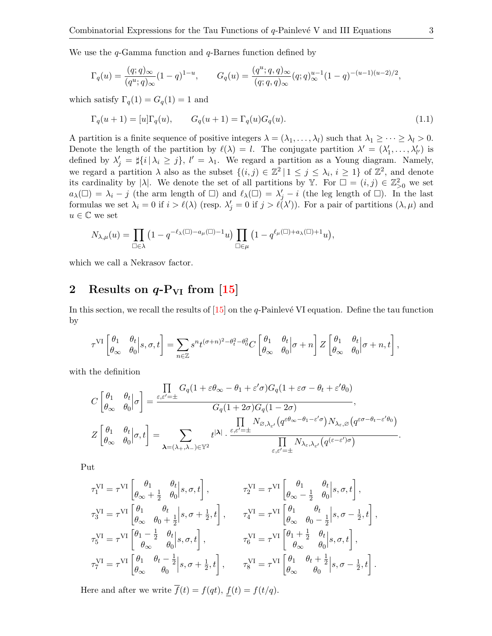We use the  $q$ -Gamma function and  $q$ -Barnes function defined by

$$
\Gamma_q(u)=\frac{(q;q)_\infty}{(q^u;q)_\infty}(1-q)^{1-u},\qquad G_q(u)=\frac{(q^u;q,q)_\infty}{(q;q,q)_\infty}(q;q)_\infty^{u-1}(1-q)^{-(u-1)(u-2)/2},
$$

which satisfy  $\Gamma_q(1) = G_q(1) = 1$  and

<span id="page-2-1"></span>
$$
\Gamma_q(u+1) = [u]\Gamma_q(u), \qquad G_q(u+1) = \Gamma_q(u)G_q(u). \tag{1.1}
$$

A partition is a finite sequence of positive integers  $\lambda = (\lambda_1, \dots, \lambda_l)$  such that  $\lambda_1 \geq \dots \geq \lambda_l > 0$ . Denote the length of the partition by  $\ell(\lambda) = l$ . The conjugate partition  $\lambda' = (\lambda'_1, \dots, \lambda'_{l'})$  is defined by  $\lambda'_j = \frac{1}{i} \{i \mid \lambda_i \geq j\}, l' = \lambda_1$ . We regard a partition as a Young diagram. Namely, we regard a partition  $\lambda$  also as the subset  $\{(i,j) \in \mathbb{Z}^2 \mid 1 \leq j \leq \lambda_i, i \geq 1\}$  of  $\mathbb{Z}^2$ , and denote its cardinality by | $\lambda$ |. We denote the set of all partitions by Y. For  $\square = (i, j) \in \mathbb{Z}_{\geq 0}^2$  we set  $a_\lambda(\square) = \lambda_i - j$  (the arm length of  $\square$ ) and  $\ell_\lambda(\square) = \lambda'_j - i$  (the leg length of  $\square$ ). In the last formulas we set  $\lambda_i = 0$  if  $i > \ell(\lambda)$  (resp.  $\lambda'_j = 0$  if  $j > \ell(\lambda')$ ). For a pair of partitions  $(\lambda, \mu)$  and  $u\in\mathbb{C}$  we set

$$
N_{\lambda,\mu}(u)=\prod_{\square\in\lambda}\left(1-q^{-\ell_{\lambda}(\square)-a_{\mu}(\square)-1}u\right)\prod_{\square\in\mu}\left(1-q^{\ell_{\mu}(\square)+a_{\lambda}(\square)+1}u\right),
$$

which we call a Nekrasov factor.

## <span id="page-2-0"></span>2 Results on  $q-P_{VI}$  from [\[15\]](#page-16-9)

In this section, we recall the results of  $[15]$  on the q-Painlevé VI equation. Define the tau function by

$$
\tau^{\text{VI}}\begin{bmatrix} \theta_1 & \theta_t \\ \theta_\infty & \theta_0 \end{bmatrix} s, \sigma, t \end{bmatrix} = \sum_{n \in \mathbb{Z}} s^n t^{(\sigma+n)^2 - \theta_t^2 - \theta_0^2} C \begin{bmatrix} \theta_1 & \theta_t \\ \theta_\infty & \theta_0 \end{bmatrix} \sigma + n \begin{bmatrix} \mathcal{B} & \theta_t \\ \theta_\infty & \theta_0 \end{bmatrix} \sigma + n, t \end{bmatrix},
$$

with the definition

$$
\begin{split} C\begin{bmatrix} \theta_1 & \theta_t \\ \theta_\infty & \theta_0 \end{bmatrix} \sigma \end{bmatrix} &= \frac{\prod\limits_{\varepsilon, \varepsilon' = \pm} G_q (1 + \varepsilon \theta_\infty - \theta_1 + \varepsilon' \sigma) G_q (1 + \varepsilon \sigma - \theta_t + \varepsilon' \theta_0)}{G_q (1 + 2 \sigma) G_q (1 - 2 \sigma)}, \\ Z\begin{bmatrix} \theta_1 & \theta_t \\ \theta_\infty & \theta_0 \end{bmatrix} \sigma, t \end{split} = \sum_{\pmb{\lambda} = (\lambda_+, \lambda_-) \in \mathbb{Y}^2} t^{|\pmb{\lambda}|} \cdot \frac{\varepsilon, \varepsilon' = \pm} \frac{N_{\varnothing, \lambda_{\varepsilon'}} \big( q^{\varepsilon \theta_\infty - \theta_1 - \varepsilon' \sigma} \big) N_{\lambda_{\varepsilon}, \varnothing} \big( q^{\varepsilon \sigma - \theta_t - \varepsilon' \theta_0} \big)}{\prod\limits_{\varepsilon, \varepsilon' = \pm} N_{\lambda_{\varepsilon}, \lambda_{\varepsilon'}} \big( q^{(\varepsilon - \varepsilon') \sigma} \big)} . \end{split}
$$

Put

$$
\begin{aligned} &\tau_1^{\text{VI}} = \tau^{\text{VI}}\begin{bmatrix} \theta_1 & \theta_t \\ \theta_\infty+\frac{1}{2} & \theta_0 \end{bmatrix}\!\!, &\tau_2^{\text{VI}} = \tau^{\text{VI}}\begin{bmatrix} \theta_1 & \theta_t \\ \theta_\infty-\frac{1}{2} & \theta_0 \end{bmatrix}\!\!, &\sigma_3^{\text{VI}} = \tau^{\text{VI}}\begin{bmatrix} \theta_1 & \theta_t \\ \theta_\infty-\frac{1}{2} & \theta_0 \end{bmatrix}\!\!, &\sigma_3^{\text{VI}} = \tau^{\text{VI}}\begin{bmatrix} \theta_1 & \theta_t \\ \theta_\infty & \theta_0-\frac{1}{2} \end{bmatrix}\!\!, &\sigma_3^{\text{VI}} = \tau^{\text{VI}}\begin{bmatrix} \theta_1 & \theta_t \\ \theta_\infty & \theta_0-\frac{1}{2} \end{bmatrix}\!\!, &\sigma_3^{\text{VI}} = \tau^{\text{VI}}\begin{bmatrix} \theta_1 & \theta_t \\ \theta_\infty & \theta_0-\frac{1}{2} \end{bmatrix}\!\!, &\sigma_3^{\text{VI}} = \tau^{\text{VI}}\begin{bmatrix} \theta_1+\frac{1}{2} & \theta_t \\ \theta_\infty & \theta_0 \end{bmatrix}\!\!, &\sigma_3^{\text{VI}} = \tau^{\text{VI}}\begin{bmatrix} \theta_1+\frac{1}{2} & \theta_t \\ \theta_\infty & \theta_0 \end{bmatrix}\!\!, &\sigma_3^{\text{VI}} = \tau^{\text{VI}}\begin{bmatrix} \theta_1 & \theta_t+\frac{1}{2} \\ \theta_\infty & \theta_0 \end{bmatrix}\!\!, &\sigma_3^{\text{VI}} = \tau^{\text{VI}}\begin{bmatrix} \theta_1 & \theta_t+\frac{1}{2} \\ \theta_\infty & \theta_0 \end{bmatrix}\!\!, &\sigma_3^{\text{VI}} = \tau^{\text{VI}}\begin{bmatrix} \theta_1 & \theta_t+\frac{1}{2} \\ \theta_\infty & \theta_0 \end{bmatrix}\!\!, &\sigma_3^{\text{VI}} = \tau^{\text{VI}}\begin{bmatrix} \theta_1 & \theta_1+\frac{1}{2} \\ \theta_\infty & \theta_0 \end{bmatrix}\!\!, &\sigma_3^{\text{VI}} = \tau^{\text{VI}}\begin{bmatrix} \theta_1 & \theta_
$$

Here and after we write  $\overline{f}(t) = f(qt), f(t) = f(t/q).$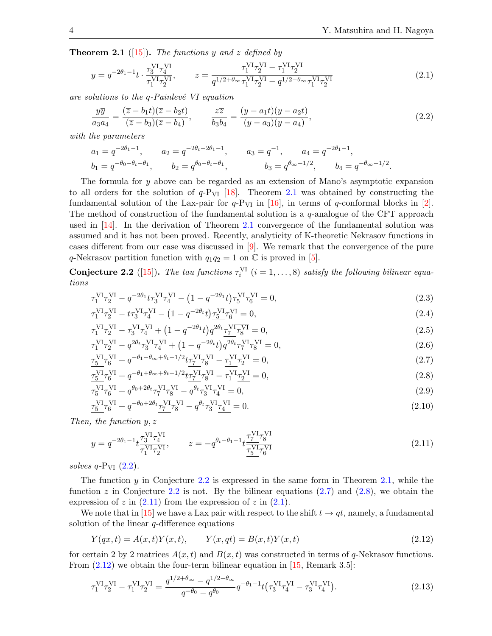<span id="page-3-0"></span>**Theorem 2.1** ([\[15\]](#page-16-9)). The functions y and z defined by

<span id="page-3-6"></span>
$$
y = q^{-2\theta_1 - 1}t \cdot \frac{\tau_3^{VI}\tau_4^{VI}}{\tau_1^{VI}\tau_2^{VI}}, \qquad z = \frac{\tau_1^{VI}\tau_2^{VI} - \tau_1^{VI}\tau_2^{VI}}{q^{1/2 + \theta_\infty}\underline{\tau_1^{VI}}\tau_2^{VI} - q^{1/2 - \theta_\infty}\tau_1^{VI}\underline{\tau_2^{VI}}}
$$
(2.1)

are solutions to the  $q$ -Painlevé VI equation

<span id="page-3-1"></span>
$$
\frac{y\overline{y}}{a_3a_4} = \frac{(\overline{z} - b_1t)(\overline{z} - b_2t)}{(\overline{z} - b_3)(\overline{z} - b_4)}, \qquad \frac{z\overline{z}}{b_3b_4} = \frac{(y - a_1t)(y - a_2t)}{(y - a_3)(y - a_4)},\tag{2.2}
$$

with the parameters

$$
a_1 = q^{-2\theta_1 - 1}
$$
,  $a_2 = q^{-2\theta_t - 2\theta_1 - 1}$ ,  $a_3 = q^{-1}$ ,  $a_4 = q^{-2\theta_1 - 1}$ ,  
\n $b_1 = q^{-\theta_0 - \theta_t - \theta_1}$ ,  $b_2 = q^{\theta_0 - \theta_t - \theta_1}$ ,  $b_3 = q^{\theta_\infty - 1/2}$ ,  $b_4 = q^{-\theta_\infty - 1/2}$ .

The formula for y above can be regarded as an extension of Mano's asymptotic expansion to all orders for the solution of  $q$ -P<sub>VI</sub> [\[18\]](#page-16-14). Theorem [2.1](#page-3-0) was obtained by constructing the fundamental solution of the Lax-pair for  $q$ -P<sub>VI</sub> in [\[16\]](#page-16-10), in terms of q-conformal blocks in [\[2\]](#page-15-7). The method of construction of the fundamental solution is a q-analogue of the CFT approach used in [\[14\]](#page-16-15). In the derivation of Theorem [2.1](#page-3-0) convergence of the fundamental solution was assumed and it has not been proved. Recently, analyticity of K-theoretic Nekrasov functions in cases different from our case was discussed in [\[9\]](#page-15-8). We remark that the convergence of the pure q-Nekrasov partition function with  $q_1q_2 = 1$  on  $\mathbb C$  is proved in [\[5\]](#page-15-2).

<span id="page-3-2"></span>**Conjecture 2.2** ([\[15\]](#page-16-9)). The tau functions  $\tau_i^{VI}$   $(i = 1, ..., 8)$  satisfy the following bilinear equations

$$
\tau_1^{\text{VI}} \tau_2^{\text{VI}} - q^{-2\theta_1} t \tau_3^{\text{VI}} \tau_4^{\text{VI}} - (1 - q^{-2\theta_1} t) \tau_5^{\text{VI}} \tau_6^{\text{VI}} = 0,
$$
\n(2.3)

$$
\tau_1^{\text{VI}} \tau_2^{\text{VI}} - t \tau_3^{\text{VI}} \tau_4^{\text{VI}} - \left(1 - q^{-2\theta_t} t\right) \tau_5^{\text{VI}} \overline{\tau_6^{\text{VI}}} = 0,\tag{2.4}
$$

$$
\tau_1^{\text{VI}} \tau_2^{\text{VI}} - \tau_3^{\text{VI}} \tau_4^{\text{VI}} + \left(1 - q^{-2\theta_1} t\right) q^{2\theta_t} \tau_7^{\text{VI}} \overline{\tau_8^{\text{VI}}} = 0,\tag{2.5}
$$

<span id="page-3-3"></span>
$$
\tau_1^{\text{VI}} \tau_2^{\text{VI}} - q^{2\theta_t} \tau_3^{\text{VI}} \tau_4^{\text{VI}} + (1 - q^{-2\theta_t} t) q^{2\theta_t} \tau_7^{\text{VI}} \tau_8^{\text{VI}} = 0,
$$
\n
$$
\tau_{\text{VI}}^{\text{VI}} \tau_4^{\text{VI}} + q^{-\theta_1 - \theta_\infty + \theta_t - 1/2} t \tau_{\text{V}}^{\text{VI}} \tau_4^{\text{VI}} - \tau_{\text{V}}^{\text{VI}} \tau_4^{\text{VI}} = 0
$$
\n
$$
(2.6)
$$
\n
$$
(2.6)
$$

$$
\frac{\tau_5^{VI}\tau_6^{VI}}{\tau_5^{VI}\tau_6^{VI}} + q^{-\theta_1 - \theta_\infty + \theta_t - 1/2}t\frac{\tau_7^{VI}\tau_8^{VI}}{\tau_7^{VI}\tau_8^{VI}} - \frac{\tau_1^{VI}\tau_2^{VI}}{\tau_2^{VI}} = 0,
$$
\n(2.7)\n
$$
\frac{\tau_5^{VI}\tau_6^{VI}}{\tau_6^{VI}} + q^{-\theta_1 + \theta_\infty + \theta_t - 1/2}t\frac{\tau_7^{VI}\tau_8^{VI}}{\tau_8^{VI}} - \frac{\tau_1^{VI}\tau_2^{VI}}{\tau_2^{VI}} = 0,
$$
\n(2.8)

<span id="page-3-4"></span>
$$
\frac{\overline{V}}{T_5^{VI}} \tau_6^{VI} + q^{\theta_0 + 2\theta_t} \frac{\tau_7^{VI}}{T_7^{VI}} \tau_8^{VI} - q^{\theta_t} \frac{\tau_3^{VI}}{T_3^{VI}} \tau_4^{VI} = 0,
$$
\n(2.9)

$$
\tau_5^{\text{VI}} \tau_6^{\text{VI}} + q^{-\theta_0 + 2\theta_t} \tau_7^{\text{VI}} \tau_8^{\text{VI}} - q^{\theta_t} \tau_3^{\text{VI}} \underline{\tau_4^{\text{VI}}} = 0. \tag{2.10}
$$

Then, the function  $y, z$ 

<span id="page-3-5"></span>
$$
y = q^{-2\theta_1 - 1} t \frac{\tau_3^{VI} \tau_4^{VI}}{\tau_1^{VI} \tau_2^{VI}}, \qquad z = -q^{\theta_t - \theta_1 - 1} t \frac{\tau_7^{VI} \tau_8^{VI}}{\tau_5^{VI} \tau_6^{VI}} \tag{2.11}
$$

solves  $q\text{-}P_{VI}$   $(2.2)$ .

The function  $y$  in Conjecture [2.2](#page-3-2) is expressed in the same form in Theorem [2.1,](#page-3-0) while the function z in Conjecture [2.2](#page-3-2) is not. By the bilinear equations  $(2.7)$  and  $(2.8)$ , we obtain the expression of  $z$  in  $(2.11)$  from the expression of  $z$  in  $(2.1)$ .

We note that in [\[15\]](#page-16-9) we have a Lax pair with respect to the shift  $t \to qt$ , namely, a fundamental solution of the linear  $q$ -difference equations

<span id="page-3-7"></span>
$$
Y(qx, t) = A(x, t)Y(x, t), \qquad Y(x, qt) = B(x, t)Y(x, t)
$$
\n(2.12)

for certain 2 by 2 matrices  $A(x, t)$  and  $B(x, t)$  was constructed in terms of q-Nekrasov functions. From  $(2.12)$  we obtain the four-term bilinear equation in [\[15,](#page-16-9) Remark 3.5]:

<span id="page-3-8"></span>
$$
\underline{\tau_1^{VI}} \tau_2^{VI} - \tau_1^{VI} \underline{\tau_2^{VI}} = \frac{q^{1/2 + \theta_{\infty}} - q^{1/2 - \theta_{\infty}}}{q^{-\theta_0} - q^{\theta_0}} q^{-\theta_1 - 1} t \left( \underline{\tau_3^{VI}} \tau_4^{VI} - \tau_3^{VI} \underline{\tau_4^{VI}} \right).
$$
\n(2.13)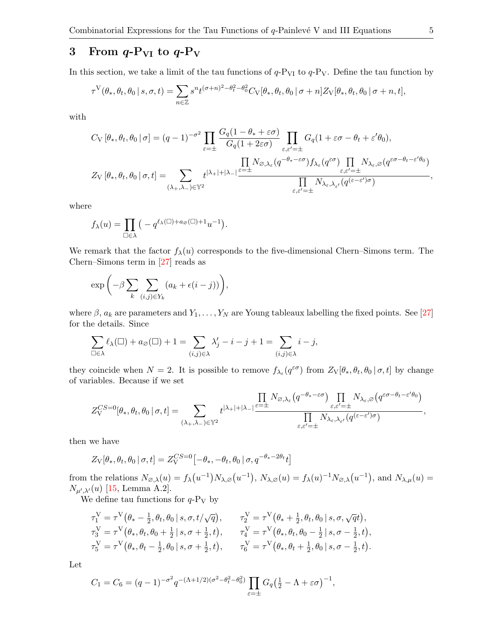## <span id="page-4-0"></span>3 From  $q-P_{VI}$  to  $q-P_V$

In this section, we take a limit of the tau functions of  $q-P_{VI}$  to  $q-P_V$ . Define the tau function by

$$
\tau^{\mathcal{V}}(\theta_*, \theta_t, \theta_0 \mid s, \sigma, t) = \sum_{n \in \mathbb{Z}} s^n t^{(\sigma+n)^2 - \theta_t^2 - \theta_0^2} C_{\mathcal{V}}[\theta_*, \theta_t, \theta_0 \mid \sigma + n] Z_{\mathcal{V}}[\theta_*, \theta_t, \theta_0 \mid \sigma + n, t],
$$

with

$$
C_{\rm V}\left[\theta_*,\theta_t,\theta_0\,|\,\sigma\right]=(q-1)^{-\sigma^2}\prod_{\varepsilon=\pm}\frac{G_q(1-\theta_*+\varepsilon\sigma)}{G_q(1+2\varepsilon\sigma)}\prod_{\varepsilon,\varepsilon'=\pm}G_q(1+\varepsilon\sigma-\theta_t+\varepsilon'\theta_0),
$$
  

$$
Z_{\rm V}\left[\theta_*,\theta_t,\theta_0\,|\,\sigma,t\right]=\sum_{(\lambda_+,\lambda_-)\in\mathbb{Y}^2}t^{|\lambda_+|+|\lambda_-|}\frac{\prod\limits_{\varepsilon=\pm}N_{\varnothing,\lambda_\varepsilon}(q^{-\theta_*-\varepsilon\sigma})f_{\lambda_\varepsilon}(q^{\varepsilon\sigma})\prod\limits_{\varepsilon,\varepsilon'=\pm}N_{\lambda_\varepsilon,\lambda_{\varepsilon'}}(q^{(\varepsilon-\varepsilon')\sigma})}{\prod\limits_{\varepsilon,\varepsilon'=\pm}N_{\lambda_\varepsilon,\lambda_{\varepsilon'}}(q^{(\varepsilon-\varepsilon')\sigma})},
$$

where

$$
f_{\lambda}(u) = \prod_{\square \in \lambda} \left( -q^{\ell_{\lambda}(\square) + a_{\varnothing}(\square) + 1} u^{-1} \right).
$$

We remark that the factor  $f_{\lambda}(u)$  corresponds to the five-dimensional Chern–Simons term. The Chern–Simons term in [\[27\]](#page-16-16) reads as

$$
\exp\bigg(-\beta\sum_{k}\sum_{(i,j)\in Y_k}(a_k+\epsilon(i-j))\bigg),\,
$$

where  $\beta$ ,  $a_k$  are parameters and  $Y_1, \ldots, Y_N$  are Young tableaux labelling the fixed points. See [\[27\]](#page-16-16) for the details. Since

$$
\sum_{\square \in \lambda} \ell_{\lambda}(\square) + a_{\varnothing}(\square) + 1 = \sum_{(i,j) \in \lambda} \lambda'_j - i - j + 1 = \sum_{(i,j) \in \lambda} i - j,
$$

they coincide when  $N=2$ . It is possible to remove  $f_{\lambda_{\varepsilon}}(q^{\varepsilon\sigma})$  from  $Z_{V}[\theta_{*},\theta_{t},\theta_{0} | \sigma, t]$  by change of variables. Because if we set

$$
Z^{CS=0}_\mathbf{V}[\theta_*,\theta_t,\theta_0 \,|\, \sigma,t] = \sum_{(\lambda_+,\lambda_-)\in \mathbb{Y}^2} t^{|\lambda_+|+|\lambda_-|}\frac{\prod\limits_{\varepsilon=\pm} N_{\varnothing,\lambda_\varepsilon}\big(q^{-\theta_*-\varepsilon\sigma}\big)\prod\limits_{\varepsilon,\varepsilon'=\pm} N_{\lambda_\varepsilon,\lambda_\varepsilon\prime}\big(q^{\varepsilon\sigma-\theta_t-\varepsilon'\theta_0}\big)}{\prod\limits_{\varepsilon,\varepsilon'=\pm} N_{\lambda_\varepsilon,\lambda_{\varepsilon\prime}}\big(q^{(\varepsilon-\varepsilon')\sigma}\big)},
$$

then we have

$$
Z_{\rm V}[\theta_*, \theta_t, \theta_0 \,|\, \sigma, t] = Z_{\rm V}^{CS=0}[-\theta_*, -\theta_t, \theta_0 \,|\, \sigma, q^{-\theta_*-2\theta_t}t]
$$

from the relations  $N_{\varnothing,\lambda}(u) = f_{\lambda}(u^{-1})N_{\lambda,\varnothing}(u^{-1}), N_{\lambda,\varnothing}(u) = f_{\lambda}(u)^{-1}N_{\varnothing,\lambda}(u^{-1}),$  and  $N_{\lambda,\mu}(u) =$  $N_{\mu',\lambda'}(u)$  [\[15,](#page-16-9) Lemma A.2].

We define tau functions for  $q-P_V$  by

$$
\begin{aligned}\n\tau_1^{\text{V}} &= \tau^{\text{V}}(\theta_* - \frac{1}{2}, \theta_t, \theta_0 \, | \, s, \sigma, t/\sqrt{q}), &\tau_2^{\text{V}} &= \tau^{\text{V}}(\theta_* + \frac{1}{2}, \theta_t, \theta_0 \, | \, s, \sigma, \sqrt{q}t), \\
\tau_3^{\text{V}} &= \tau^{\text{V}}(\theta_*, \theta_t, \theta_0 + \frac{1}{2} \, | \, s, \sigma + \frac{1}{2}, t), &\tau_4^{\text{V}} &= \tau^{\text{V}}(\theta_*, \theta_t, \theta_0 - \frac{1}{2} \, | \, s, \sigma - \frac{1}{2}, t), \\
\tau_5^{\text{V}} &= \tau^{\text{V}}(\theta_*, \theta_t - \frac{1}{2}, \theta_0 \, | \, s, \sigma + \frac{1}{2}, t), &\tau_6^{\text{V}} &= \tau^{\text{V}}(\theta_*, \theta_t + \frac{1}{2}, \theta_0 \, | \, s, \sigma - \frac{1}{2}, t).\n\end{aligned}
$$

Let

$$
C_1 = C_6 = (q-1)^{-\sigma^2} q^{-(\Lambda+1/2)(\sigma^2-\theta_t^2-\theta_0^2)} \prod_{\varepsilon=\pm} G_q \left(\frac{1}{2} - \Lambda + \varepsilon \sigma\right)^{-1},
$$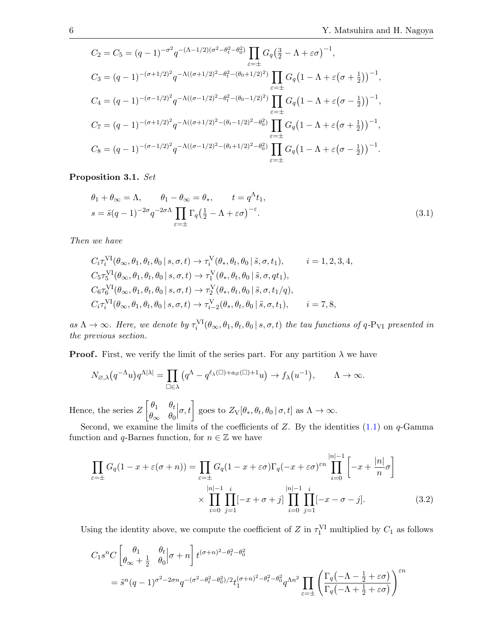$$
C_2 = C_5 = (q-1)^{-\sigma^2} q^{-(\Lambda - 1/2)(\sigma^2 - \theta_t^2 - \theta_0^2)} \prod_{\varepsilon = \pm} G_q \left(\frac{3}{2} - \Lambda + \varepsilon \sigma\right)^{-1},
$$
  
\n
$$
C_3 = (q-1)^{-(\sigma + 1/2)^2} q^{-\Lambda((\sigma + 1/2)^2 - \theta_t^2 - (\theta_0 + 1/2)^2)} \prod_{\varepsilon = \pm} G_q \left(1 - \Lambda + \varepsilon \left(\sigma + \frac{1}{2}\right)\right)^{-1},
$$
  
\n
$$
C_4 = (q-1)^{-(\sigma - 1/2)^2} q^{-\Lambda((\sigma - 1/2)^2 - \theta_t^2 - (\theta_0 - 1/2)^2)} \prod_{\varepsilon = \pm} G_q \left(1 - \Lambda + \varepsilon \left(\sigma - \frac{1}{2}\right)\right)^{-1},
$$
  
\n
$$
C_7 = (q-1)^{-(\sigma + 1/2)^2} q^{-\Lambda((\sigma + 1/2)^2 - (\theta_t - 1/2)^2 - \theta_0^2)} \prod_{\varepsilon = \pm} G_q \left(1 - \Lambda + \varepsilon \left(\sigma + \frac{1}{2}\right)\right)^{-1},
$$
  
\n
$$
C_8 = (q-1)^{-(\sigma - 1/2)^2} q^{-\Lambda((\sigma - 1/2)^2 - (\theta_t + 1/2)^2 - \theta_0^2)} \prod_{\varepsilon = \pm} G_q \left(1 - \Lambda + \varepsilon \left(\sigma - \frac{1}{2}\right)\right)^{-1}.
$$

<span id="page-5-1"></span>Proposition 3.1. Set

<span id="page-5-0"></span>
$$
\theta_1 + \theta_{\infty} = \Lambda, \qquad \theta_1 - \theta_{\infty} = \theta_*, \qquad t = q^{\Lambda} t_1,
$$
  

$$
s = \tilde{s}(q-1)^{-2\sigma} q^{-2\sigma\Lambda} \prod_{\varepsilon=\pm} \Gamma_q \left(\frac{1}{2} - \Lambda + \varepsilon \sigma\right)^{-\varepsilon}.
$$
 (3.1)

Then we have

$$
C_i \tau_i^{\text{VI}}(\theta_{\infty}, \theta_1, \theta_t, \theta_0 \mid s, \sigma, t) \to \tau_i^{\text{V}}(\theta_*, \theta_t, \theta_0 \mid \tilde{s}, \sigma, t_1), \qquad i = 1, 2, 3, 4,
$$
  
\n
$$
C_5 \tau_5^{\text{VI}}(\theta_{\infty}, \theta_1, \theta_t, \theta_0 \mid s, \sigma, t) \to \tau_1^{\text{V}}(\theta_*, \theta_t, \theta_0 \mid \tilde{s}, \sigma, qt_1),
$$
  
\n
$$
C_6 \tau_6^{\text{VI}}(\theta_{\infty}, \theta_1, \theta_t, \theta_0 \mid s, \sigma, t) \to \tau_2^{\text{V}}(\theta_*, \theta_t, \theta_0 \mid \tilde{s}, \sigma, t_1/q),
$$
  
\n
$$
C_i \tau_i^{\text{VI}}(\theta_{\infty}, \theta_1, \theta_t, \theta_0 \mid s, \sigma, t) \to \tau_{i-2}^{\text{V}}(\theta_*, \theta_t, \theta_0 \mid \tilde{s}, \sigma, t_1), \qquad i = 7, 8,
$$

as  $\Lambda \to \infty$ . Here, we denote by  $\tau_i^{\text{VI}}(\theta_\infty, \theta_1, \theta_t, \theta_0 | s, \sigma, t)$  the tau functions of q-P<sub>VI</sub> presented in the previous section.

**Proof.** First, we verify the limit of the series part. For any partition  $\lambda$  we have

$$
N_{\varnothing,\lambda}(q^{-\Lambda}u)q^{\Lambda|\lambda|} = \prod_{\square \in \lambda} (q^{\Lambda} - q^{\ell_{\lambda}(\square) + a_{\varnothing}(\square) + 1}u) \to f_{\lambda}(u^{-1}), \qquad \Lambda \to \infty.
$$

Hence, the series  $Z \begin{bmatrix} \theta_1 & \theta_t \\ 0 & 0 \end{bmatrix}$  $\theta_{\infty}$   $\theta_0$  $\left[\sigma, t\right]$  goes to  $Z_{\rm V}[\theta_*, \theta_t, \theta_0 \,|\, \sigma, t]$  as  $\Lambda \to \infty$ .

Second, we examine the limits of the coefficients of  $Z$ . By the identities  $(1.1)$  on  $q$ -Gamma function and q-Barnes function, for  $n \in \mathbb{Z}$  we have

<span id="page-5-2"></span>
$$
\prod_{\varepsilon=\pm} G_q(1-x+\varepsilon(\sigma+n)) = \prod_{\varepsilon=\pm} G_q(1-x+\varepsilon\sigma) \Gamma_q(-x+\varepsilon\sigma)^{\varepsilon n} \prod_{i=0}^{|n|-1} \left[-x+\frac{|n|}{n}\sigma\right]
$$
\n
$$
\times \prod_{i=0}^{|n|-1} \prod_{j=1}^i [-x+\sigma+j] \prod_{i=0}^{|n|-1} \prod_{j=1}^i [-x-\sigma-j]. \tag{3.2}
$$

Using the identity above, we compute the coefficient of Z in  $\tau_1^{\text{VI}}$  multiplied by  $C_1$  as follows

$$
C_1 s^n C \left[ \begin{array}{cc} \theta_1 & \theta_t \\ \theta_\infty + \frac{1}{2} & \theta_0 \end{array} \right] \sigma + n \right] t^{(\sigma + n)^2 - \theta_t^2 - \theta_0^2}
$$
\n
$$
= \tilde{s}^n (q - 1)^{\sigma^2 - 2\sigma n} q^{-(\sigma^2 - \theta_t^2 - \theta_0^2)/2} t_1^{(\sigma + n)^2 - \theta_t^2 - \theta_0^2} q^{\Lambda n^2} \prod_{\varepsilon = \pm} \left( \frac{\Gamma_q(-\Lambda - \frac{1}{2} + \varepsilon \sigma)}{\Gamma_q(-\Lambda + \frac{1}{2} + \varepsilon \sigma)} \right)^{\varepsilon n}
$$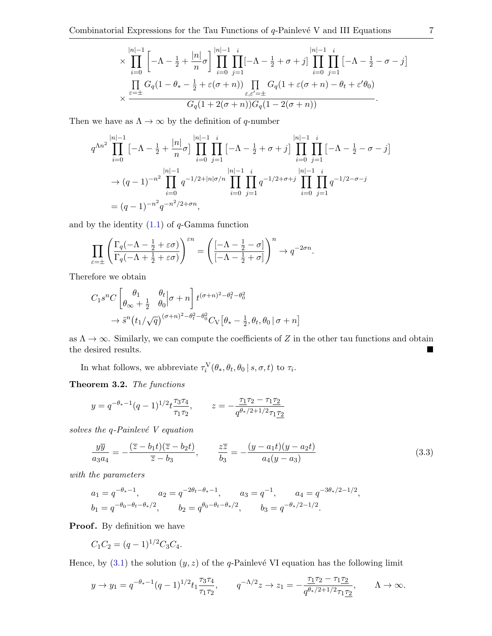$$
\times \prod_{i=0}^{|n|-1} \left[ -\Lambda - \frac{1}{2} + \frac{|n|}{n} \sigma \right] \prod_{i=0}^{|n|-1} \prod_{j=1}^{i} \left[ -\Lambda - \frac{1}{2} + \sigma + j \right] \prod_{i=0}^{|n|-1} \prod_{j=1}^{i} \left[ -\Lambda - \frac{1}{2} - \sigma - j \right]
$$
  

$$
\times \frac{\prod_{\varepsilon=\pm} G_q (1 - \theta_* - \frac{1}{2} + \varepsilon(\sigma + n)) \prod_{\varepsilon,\varepsilon'=\pm} G_q (1 + \varepsilon(\sigma + n) - \theta_t + \varepsilon' \theta_0)}{G_q (1 + 2(\sigma + n)) G_q (1 - 2(\sigma + n))}.
$$

Then we have as  $\Lambda \to \infty$  by the definition of q-number

$$
q^{\Lambda n^2} \prod_{i=0}^{|n|-1} \left[ -\Lambda - \frac{1}{2} + \frac{|n|}{n} \sigma \right] \prod_{i=0}^{|n|-1} \prod_{j=1}^i \left[ -\Lambda - \frac{1}{2} + \sigma + j \right] \prod_{i=0}^{|n|-1} \prod_{j=1}^i \left[ -\Lambda - \frac{1}{2} - \sigma - j \right]
$$
  

$$
\to (q-1)^{-n^2} \prod_{i=0}^{|n|-1} q^{-1/2 + |n|\sigma/n} \prod_{i=0}^{|n|-1} \prod_{j=1}^i q^{-1/2 + \sigma + j} \prod_{i=0}^{|n|-1} \prod_{j=1}^i q^{-1/2 - \sigma - j}
$$
  

$$
= (q-1)^{-n^2} q^{-n^2/2 + \sigma n},
$$

and by the identity  $(1.1)$  of  $q$ -Gamma function

$$
\prod_{\varepsilon=\pm} \left( \frac{\Gamma_q(-\Lambda - \frac{1}{2} + \varepsilon\sigma)}{\Gamma_q(-\Lambda + \frac{1}{2} + \varepsilon\sigma)} \right)^{\varepsilon n} = \left( \frac{[-\Lambda - \frac{1}{2} - \sigma]}{[-\Lambda - \frac{1}{2} + \sigma]} \right)^n \to q^{-2\sigma n}.
$$

Therefore we obtain

$$
C_1 s^n C \left[ \begin{matrix} \theta_1 & \theta_t \\ \theta_\infty + \frac{1}{2} & \theta_0 \end{matrix} \Big| \sigma + n \right] t^{(\sigma + n)^2 - \theta_t^2 - \theta_0^2}
$$

$$
\to \tilde{s}^n (t_1/\sqrt{q})^{(\sigma + n)^2 - \theta_t^2 - \theta_0^2} C_{\text{V}} \left[ \theta_* - \frac{1}{2}, \theta_t, \theta_0 \Big| \sigma + n \right]
$$

as  $\Lambda \to \infty$ . Similarly, we can compute the coefficients of Z in the other tau functions and obtain the desired results.

In what follows, we abbreviate  $\tau_i^V(\theta_*, \theta_t, \theta_0 | s, \sigma, t)$  to  $\tau_i$ .

Theorem 3.2. The functions

$$
y = q^{-\theta_* - 1}(q - 1)^{1/2} t \frac{\tau_3 \tau_4}{\tau_1 \tau_2}, \qquad z = -\frac{\tau_1 \tau_2 - \tau_1 \tau_2}{q^{\theta_*/2 + 1/2} \tau_1 \tau_2}
$$

solves the  $q$ -Painlevé V equation

<span id="page-6-0"></span>
$$
\frac{y\overline{y}}{a_3a_4} = -\frac{(\overline{z} - b_1t)(\overline{z} - b_2t)}{\overline{z} - b_3}, \qquad \frac{z\overline{z}}{b_3} = -\frac{(y - a_1t)(y - a_2t)}{a_4(y - a_3)}\tag{3.3}
$$

with the parameters

$$
a_1 = q^{-\theta_* - 1}
$$
,  $a_2 = q^{-2\theta_t - \theta_* - 1}$ ,  $a_3 = q^{-1}$ ,  $a_4 = q^{-3\theta_*/2 - 1/2}$ ,  
\n $b_1 = q^{-\theta_0 - \theta_t - \theta_*/2}$ ,  $b_2 = q^{\theta_0 - \theta_t - \theta_*/2}$ ,  $b_3 = q^{-\theta_*/2 - 1/2}$ .

**Proof.** By definition we have

$$
C_1C_2 = (q-1)^{1/2}C_3C_4.
$$

Hence, by  $(3.1)$  the solution  $(y, z)$  of the q-Painlevé VI equation has the following limit

$$
y \to y_1 = q^{-\theta_*-1}(q-1)^{1/2} t_1 \frac{\tau_3 \tau_4}{\tau_1 \tau_2}, \qquad q^{-\Lambda/2} z \to z_1 = -\frac{\tau_1 \tau_2 - \tau_1 \tau_2}{q^{\theta_*/2+1/2} \tau_1 \underline{\tau_2}}, \qquad \Lambda \to \infty.
$$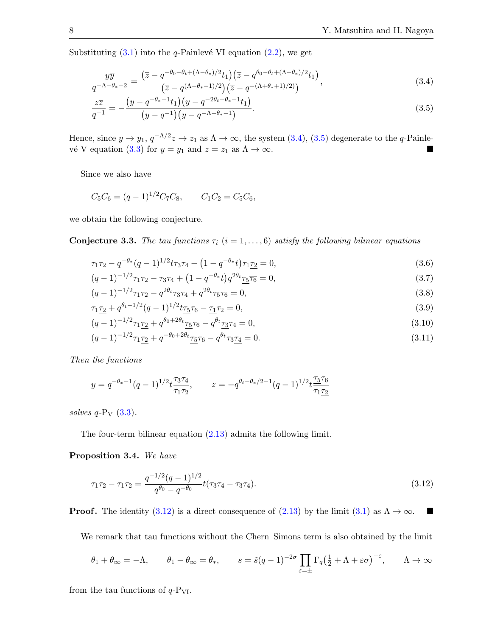Substituting  $(3.1)$  into the q-Painlevé VI equation  $(2.2)$ , we get

<span id="page-7-1"></span><span id="page-7-0"></span>
$$
\frac{y\overline{y}}{q^{-\Lambda-\theta_*-2}} = \frac{\left(\overline{z} - q^{-\theta_0-\theta_t+(\Lambda-\theta_*)/2}t_1\right)\left(\overline{z} - q^{\theta_0-\theta_t+(\Lambda-\theta_*)/2}t_1\right)}{\left(\overline{z} - q^{(\Lambda-\theta_*-1)/2}\right)\left(\overline{z} - q^{-(\Lambda+\theta_*+1)/2}\right)},\tag{3.4}
$$

$$
\frac{z\overline{z}}{q^{-1}} = -\frac{\left(y - q^{-\theta_* - 1}t_1\right)\left(y - q^{-2\theta_t - \theta_* - 1}t_1\right)}{\left(y - q^{-1}\right)\left(y - q^{-\Lambda - \theta_* - 1}\right)}.\tag{3.5}
$$

Hence, since  $y \to y_1$ ,  $q^{-\Lambda/2}z \to z_1$  as  $\Lambda \to \infty$ , the system [\(3.4\)](#page-7-0), [\(3.5\)](#page-7-1) degenerate to the q-Painle-vé V equation [\(3.3\)](#page-6-0) for  $y = y_1$  and  $z = z_1$  as  $\Lambda \to \infty$ .

Since we also have

$$
C_5C_6 = (q-1)^{1/2}C_7C_8
$$
,  $C_1C_2 = C_5C_6$ ,

we obtain the following conjecture.

**Conjecture 3.3.** The tau functions  $\tau_i$  ( $i = 1, ..., 6$ ) satisfy the following bilinear equations

<span id="page-7-3"></span>
$$
\tau_1 \tau_2 - q^{-\theta_*} (q-1)^{1/2} t \tau_3 \tau_4 - (1 - q^{-\theta_*} t) \overline{\tau_1} \tau_2 = 0,
$$
\n(3.6)

$$
(q-1)^{-1/2}\tau_1\tau_2 - \tau_3\tau_4 + \left(1 - q^{-\theta_*}t\right)q^{2\theta_t}\tau_5\overline{\tau_6} = 0,\tag{3.7}
$$

<span id="page-7-4"></span>
$$
(q-1)^{-1/2}\tau_1\tau_2 - q^{2\theta_t}\tau_3\tau_4 + q^{2\theta_t}\tau_5\tau_6 = 0,
$$
\n(3.8)  
\n
$$
\tau_5 \tau_3 + q^{\theta_t - 1/2} (q-1)^{1/2} t_5 \tau_5 = \tau_5 \tau_5 = 0
$$
\n(3.9)

<span id="page-7-5"></span>
$$
\tau_1 \tau_2 + q^{\theta t - 1/2} (q - 1)^{1/2} t \tau_5 \tau_6 - \tau_1 \tau_2 = 0,\tag{3.9}
$$

<span id="page-7-6"></span>
$$
(q-1)^{-1/2}\tau_1\tau_2 + q^{\theta_0+2\theta_t}\tau_5\tau_6 - q^{\theta_t}\tau_3\tau_4 = 0,\tag{3.10}
$$

$$
(q-1)^{-1/2}\tau_1 \underline{\tau_2} + q^{-\theta_0 + 2\theta_t} \underline{\tau_5} \tau_6 - q^{\theta_t} \tau_3 \underline{\tau_4} = 0. \tag{3.11}
$$

Then the functions

$$
y = q^{-\theta_*-1}(q-1)^{1/2}t^{\frac{73\tau_4}{71\tau_2}}, \qquad z = -q^{\theta_t - \theta_*/2 - 1}(q-1)^{1/2}t^{\frac{75\tau_6}{71\tau_2}}
$$

solves  $q$ -P<sub>V</sub>  $(3.3)$ .

The four-term bilinear equation [\(2.13\)](#page-3-8) admits the following limit.

Proposition 3.4. We have

<span id="page-7-2"></span>
$$
\underline{\tau_1}\tau_2 - \tau_1\underline{\tau_2} = \frac{q^{-1/2}(q-1)^{1/2}}{q^{\theta_0} - q^{-\theta_0}} t(\underline{\tau_3}\tau_4 - \tau_3\underline{\tau_4}).\tag{3.12}
$$

**Proof.** The identity  $(3.12)$  is a direct consequence of  $(2.13)$  by the limit  $(3.1)$  as  $\Lambda \to \infty$ .

We remark that tau functions without the Chern–Simons term is also obtained by the limit

$$
\theta_1 + \theta_\infty = -\Lambda
$$
,  $\theta_1 - \theta_\infty = \theta_*$ ,  $s = \tilde{s}(q-1)^{-2\sigma} \prod_{\varepsilon = \pm} \Gamma_q \left(\frac{1}{2} + \Lambda + \varepsilon \sigma\right)^{-\varepsilon}$ ,  $\Lambda \to \infty$ 

from the tau functions of  $q-P_{VI}$ .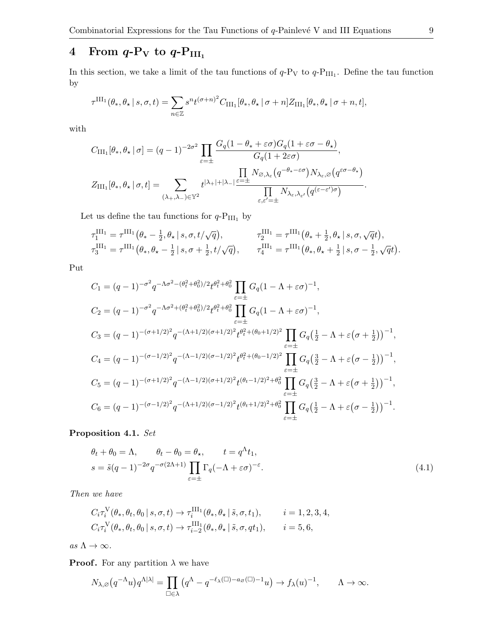# 4 From  $q\text{-}P_V$  to  $q\text{-}P_{\text{III}_1}$

In this section, we take a limit of the tau functions of  $q$ - $P_V$  to  $q$ - $P_{III_1}$ . Define the tau function by

$$
\tau^{\text{III}_1}(\theta_*, \theta_\star | s, \sigma, t) = \sum_{n \in \mathbb{Z}} s^n t^{(\sigma + n)^2} C_{\text{III}_1}[\theta_*, \theta_\star | \sigma + n] Z_{\text{III}_1}[\theta_*, \theta_\star | \sigma + n, t],
$$

with

$$
C_{\text{III}_1}[\theta_*, \theta_* | \sigma] = (q-1)^{-2\sigma^2} \prod_{\varepsilon = \pm} \frac{G_q(1 - \theta_* + \varepsilon \sigma)G_q(1 + \varepsilon \sigma - \theta_*)}{G_q(1 + 2\varepsilon \sigma)},
$$
  

$$
Z_{\text{III}_1}[\theta_*, \theta_* | \sigma, t] = \sum_{(\lambda_+, \lambda_-) \in \mathbb{Y}^2} t^{|\lambda_+| + |\lambda_-|} \frac{\prod_{\varepsilon = \pm} N_{\varnothing, \lambda_{\varepsilon}}(q^{-\theta_* - \varepsilon \sigma}) N_{\lambda_{\varepsilon}, \varnothing}(q^{\varepsilon \sigma - \theta_*})}{\prod_{\varepsilon, \varepsilon' = \pm} N_{\lambda_{\varepsilon}, \lambda_{\varepsilon'}}(q^{(\varepsilon - \varepsilon')\sigma})}.
$$

Let us define the tau functions for  $q\text{-}\mathrm{P_{III_1}}$  by

$$
\tau_1^{\text{III}_1} = \tau^{\text{III}_1} (\theta_* - \frac{1}{2}, \theta_* \mid s, \sigma, t/\sqrt{q}), \qquad \tau_2^{\text{III}_1} = \tau^{\text{III}_1} (\theta_* + \frac{1}{2}, \theta_* \mid s, \sigma, \sqrt{q}t), \tau_3^{\text{III}_1} = \tau^{\text{III}_1} (\theta_*, \theta_* - \frac{1}{2} \mid s, \sigma + \frac{1}{2}, t/\sqrt{q}), \qquad \tau_4^{\text{III}_1} = \tau^{\text{III}_1} (\theta_*, \theta_* + \frac{1}{2} \mid s, \sigma - \frac{1}{2}, \sqrt{q}t).
$$

Put

$$
C_1 = (q - 1)^{-\sigma^2} q^{-\Lambda \sigma^2 - (\theta_t^2 + \theta_0^2)/2} t^{\theta_t^2 + \theta_0^2} \prod_{\varepsilon = \pm} G_q (1 - \Lambda + \varepsilon \sigma)^{-1},
$$
  
\n
$$
C_2 = (q - 1)^{-\sigma^2} q^{-\Lambda \sigma^2 + (\theta_t^2 + \theta_0^2)/2} t^{\theta_t^2 + \theta_0^2} \prod_{\varepsilon = \pm} G_q (1 - \Lambda + \varepsilon \sigma)^{-1},
$$
  
\n
$$
C_3 = (q - 1)^{-(\sigma + 1/2)^2} q^{-(\Lambda + 1/2)(\sigma + 1/2)^2} t^{\theta_t^2 + (\theta_0 + 1/2)^2} \prod_{\varepsilon = \pm} G_q (\frac{1}{2} - \Lambda + \varepsilon (\sigma + \frac{1}{2}))^{-1},
$$
  
\n
$$
C_4 = (q - 1)^{-(\sigma - 1/2)^2} q^{-(\Lambda - 1/2)(\sigma - 1/2)^2} t^{\theta_t^2 + (\theta_0 - 1/2)^2} \prod_{\varepsilon = \pm} G_q (\frac{3}{2} - \Lambda + \varepsilon (\sigma - \frac{1}{2}))^{-1},
$$
  
\n
$$
C_5 = (q - 1)^{-(\sigma + 1/2)^2} q^{-(\Lambda - 1/2)(\sigma + 1/2)^2} t^{(\theta_t - 1/2)^2 + \theta_0^2} \prod_{\varepsilon = \pm} G_q (\frac{3}{2} - \Lambda + \varepsilon (\sigma + \frac{1}{2}))^{-1},
$$
  
\n
$$
C_6 = (q - 1)^{-(\sigma - 1/2)^2} q^{-(\Lambda + 1/2)(\sigma - 1/2)^2} t^{(\theta_t + 1/2)^2 + \theta_0^2} \prod_{\varepsilon = \pm} G_q (\frac{1}{2} - \Lambda + \varepsilon (\sigma - \frac{1}{2}))^{-1}.
$$

### Proposition 4.1. Set

<span id="page-8-0"></span>
$$
\theta_t + \theta_0 = \Lambda, \qquad \theta_t - \theta_0 = \theta_\star, \qquad t = q^\Lambda t_1,
$$
  

$$
s = \tilde{s}(q-1)^{-2\sigma} q^{-\sigma(2\Lambda+1)} \prod_{\varepsilon=\pm} \Gamma_q(-\Lambda + \varepsilon \sigma)^{-\varepsilon}.
$$
 (4.1)

Then we have

$$
C_i \tau_i^{\mathcal{V}}(\theta_*, \theta_t, \theta_0 \mid s, \sigma, t) \to \tau_i^{\mathcal{III}_1}(\theta_*, \theta_* \mid \tilde{s}, \sigma, t_1), \qquad i = 1, 2, 3, 4,
$$
  

$$
C_i \tau_i^{\mathcal{V}}(\theta_*, \theta_t, \theta_0 \mid s, \sigma, t) \to \tau_{i-2}^{\mathcal{III}_1}(\theta_*, \theta_* \mid \tilde{s}, \sigma, qt_1), \qquad i = 5, 6,
$$

as  $\Lambda \to \infty$ .

**Proof.** For any partition  $\lambda$  we have

$$
N_{\lambda,\varnothing}\big(q^{-\Lambda}u\big)q^{\Lambda|\lambda|}=\prod_{\square\in\lambda}\big(q^\Lambda-q^{-\ell_\lambda(\square)-a_\varnothing(\square)-1}u\big)\to f_\lambda(u)^{-1},\qquad\Lambda\to\infty.
$$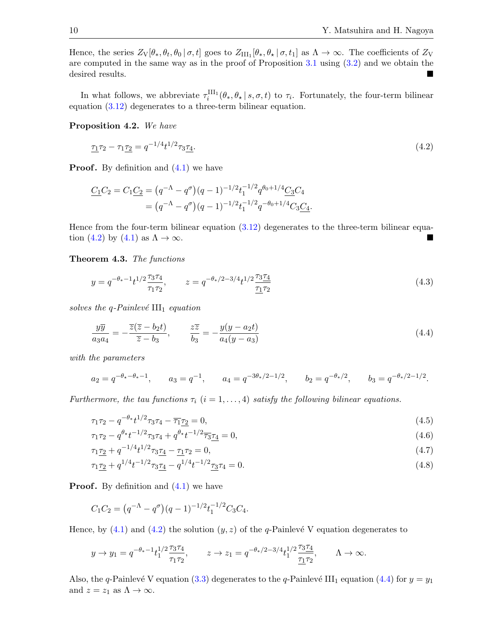Hence, the series  $Z_{\rm V}[\theta_*, \theta_t, \theta_0 \,|\, \sigma, t]$  goes to  $Z_{\rm III_1}[\theta_*, \theta_\star \,|\, \sigma, t_1]$  as  $\Lambda \to \infty$ . The coefficients of  $Z_{\rm V}$ are computed in the same way as in the proof of Proposition [3.1](#page-5-1) using [\(3.2\)](#page-5-2) and we obtain the desired results.

In what follows, we abbreviate  $\tau_i^{\text{III}}(\theta_*, \theta_* | s, \sigma, t)$  to  $\tau_i$ . Fortunately, the four-term bilinear equation [\(3.12\)](#page-7-2) degenerates to a three-term bilinear equation.

#### Proposition 4.2. We have

<span id="page-9-0"></span>
$$
\underline{\tau_1 \tau_2 - \tau_1 \underline{\tau_2}} = q^{-1/4} t^{1/2} \tau_3 \underline{\tau_4}.
$$
\n(4.2)

**Proof.** By definition and  $(4.1)$  we have

$$
\underline{C_1}C_2 = C_1 \underline{C_2} = (q^{-\Lambda} - q^{\sigma})(q - 1)^{-1/2} t_1^{-1/2} q^{\theta_0 + 1/4} \underline{C_3} C_4
$$
  
=  $(q^{-\Lambda} - q^{\sigma})(q - 1)^{-1/2} t_1^{-1/2} q^{-\theta_0 + 1/4} C_3 \underline{C_4}.$ 

Hence from the four-term bilinear equation [\(3.12\)](#page-7-2) degenerates to the three-term bilinear equa-tion [\(4.2\)](#page-9-0) by [\(4.1\)](#page-8-0) as  $\Lambda \to \infty$ .

Theorem 4.3. The functions

<span id="page-9-5"></span>
$$
y = q^{-\theta_* - 1} t^{1/2} \frac{\tau_3 \tau_4}{\tau_1 \tau_2}, \qquad z = q^{-\theta_*/2 - 3/4} t^{1/2} \frac{\tau_3 \tau_4}{\tau_1 \tau_2}
$$
(4.3)

solves the q-Painlevé  $III_1$  equation

<span id="page-9-1"></span>
$$
\frac{y\overline{y}}{a_3a_4} = -\frac{\overline{z}(\overline{z} - b_2t)}{\overline{z} - b_3}, \qquad \frac{z\overline{z}}{b_3} = -\frac{y(y - a_2t)}{a_4(y - a_3)}\tag{4.4}
$$

with the parameters

$$
a_2 = q^{-\theta_* - \theta_* - 1}
$$
,  $a_3 = q^{-1}$ ,  $a_4 = q^{-3\theta_*/2 - 1/2}$ ,  $b_2 = q^{-\theta_*/2}$ ,  $b_3 = q^{-\theta_*/2 - 1/2}$ .

Furthermore, the tau functions  $\tau_i$   $(i = 1, \ldots, 4)$  satisfy the following bilinear equations.

<span id="page-9-2"></span>
$$
\tau_1 \tau_2 - q^{-\theta_*} t^{1/2} \tau_3 \tau_4 - \overline{\tau_1} \underline{\tau_2} = 0,\tag{4.5}
$$

<span id="page-9-6"></span><span id="page-9-4"></span>
$$
\tau_1 \tau_2 - q^{\theta_\star} t^{-1/2} \tau_3 \tau_4 + q^{\theta_\star} t^{-1/2} \overline{\tau_3} \underline{\tau_4} = 0,\tag{4.6}
$$

$$
\tau_1 \underline{\tau_2} + q^{-1/4} t^{1/2} \tau_3 \underline{\tau_4} - \underline{\tau_1} \tau_2 = 0,\tag{4.7}
$$

<span id="page-9-3"></span>
$$
\tau_1 \underline{\tau_2} + q^{1/4} t^{-1/2} \tau_3 \underline{\tau_4} - q^{1/4} t^{-1/2} \underline{\tau_3} \tau_4 = 0. \tag{4.8}
$$

**Proof.** By definition and  $(4.1)$  we have

$$
C_1C_2 = (q^{-\Lambda} - q^{\sigma})(q-1)^{-1/2}t_1^{-1/2}C_3C_4.
$$

Hence, by  $(4.1)$  and  $(4.2)$  the solution  $(y, z)$  of the q-Painlevé V equation degenerates to

$$
y \to y_1 = q^{-\theta_*-1} t_1^{1/2} \frac{\tau_3 \tau_4}{\tau_1 \tau_2}, \qquad z \to z_1 = q^{-\theta_*/2 - 3/4} t_1^{1/2} \frac{\tau_3 \tau_4}{\tau_1 \tau_2}, \qquad \Lambda \to \infty.
$$

Also, the q-Painlevé V equation [\(3.3\)](#page-6-0) degenerates to the q-Painlevé III<sub>1</sub> equation [\(4.4\)](#page-9-1) for  $y = y_1$ and  $z = z_1$  as  $\Lambda \to \infty$ .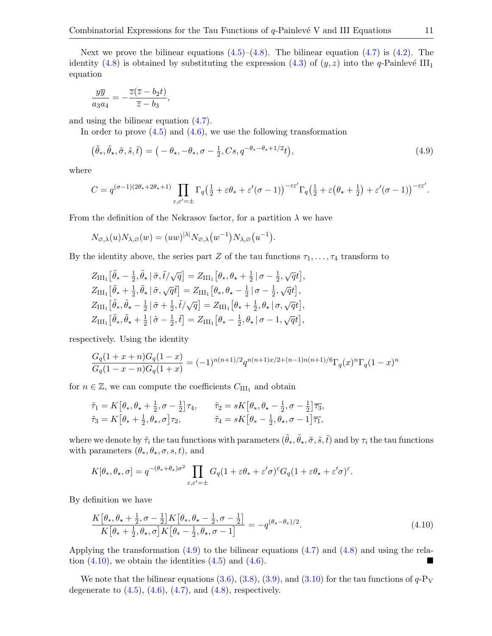Next we prove the bilinear equations  $(4.5)$ – $(4.8)$ . The bilinear equation  $(4.7)$  is  $(4.2)$ . The identity [\(4.8\)](#page-9-3) is obtained by substituting the expression [\(4.3\)](#page-9-5) of  $(y, z)$  into the q-Painlevé III<sub>1</sub> equation

$$
\frac{y\overline{y}}{a_3a_4} = -\frac{\overline{z}(\overline{z} - b_2t)}{\overline{z} - b_3},
$$

and using the bilinear equation [\(4.7\)](#page-9-4).

In order to prove  $(4.5)$  and  $(4.6)$ , we use the following transformation

<span id="page-10-0"></span>
$$
(\tilde{\theta}_*, \tilde{\theta}_*, \tilde{\sigma}, \tilde{s}, \tilde{t}) = (-\theta_*, -\theta_*, \sigma - \frac{1}{2}, Cs, q^{-\theta_* - \theta_* + 1/2}t),
$$
\n(4.9)

where

$$
C = q^{(\sigma - 1)(2\theta_{*} + 2\theta_{*} + 1)} \prod_{\varepsilon, \varepsilon' = \pm} \Gamma_{q} \left( \frac{1}{2} + \varepsilon \theta_{*} + \varepsilon'(\sigma - 1) \right)^{-\varepsilon \varepsilon'} \Gamma_{q} \left( \frac{1}{2} + \varepsilon \left( \theta_{*} + \frac{1}{2} \right) + \varepsilon'(\sigma - 1) \right)^{-\varepsilon \varepsilon'}.
$$

From the definition of the Nekrasov factor, for a partition  $\lambda$  we have

$$
N_{\varnothing,\lambda}(u)N_{\lambda,\varnothing}(w)=(uw)^{|\lambda|}N_{\varnothing,\lambda}(w^{-1})N_{\lambda,\varnothing}(u^{-1}).
$$

By the identity above, the series part Z of the tau functions  $\tau_1, \ldots, \tau_4$  transform to

$$
Z_{\text{III}_1} [\tilde{\theta}_* - \frac{1}{2}, \tilde{\theta}_* | \tilde{\sigma}, \tilde{t}/\sqrt{q}] = Z_{\text{III}_1} [\theta_*, \theta_* + \frac{1}{2} | \sigma - \frac{1}{2}, \sqrt{q}t],
$$
  
\n
$$
Z_{\text{III}_1} [\tilde{\theta}_* + \frac{1}{2}, \tilde{\theta}_* | \tilde{\sigma}, \sqrt{q} \tilde{t}] = Z_{\text{III}_1} [\theta_*, \theta_* - \frac{1}{2} | \sigma - \frac{1}{2}, \sqrt{q}t],
$$
  
\n
$$
Z_{\text{III}_1} [\tilde{\theta}_*, \tilde{\theta}_* - \frac{1}{2} | \tilde{\sigma} + \frac{1}{2}, \tilde{t}/\sqrt{q}] = Z_{\text{III}_1} [\theta_* + \frac{1}{2}, \theta_* | \sigma, \sqrt{q}t],
$$
  
\n
$$
Z_{\text{III}_1} [\tilde{\theta}_*, \tilde{\theta}_* + \frac{1}{2} | \tilde{\sigma} - \frac{1}{2}, \tilde{t}] = Z_{\text{III}_1} [\theta_* - \frac{1}{2}, \theta_* | \sigma - 1, \sqrt{q}t],
$$

respectively. Using the identity

$$
\frac{G_q(1+x+n)G_q(1-x)}{G_q(1-x-n)G_q(1+x)} = (-1)^{n(n+1)/2} q^{n(n+1)x/2 + (n-1)n(n+1)/6} \Gamma_q(x)^n \Gamma_q(1-x)^n
$$

for  $n \in \mathbb{Z}$ , we can compute the coefficients  $C_{\text{III}_1}$  and obtain

$$
\tilde{\tau}_1 = K\left[\theta_*, \theta_* + \frac{1}{2}, \sigma - \frac{1}{2}\right] \tau_4, \qquad \tilde{\tau}_2 = sK\left[\theta_*, \theta_* - \frac{1}{2}, \sigma - \frac{1}{2}\right] \overline{\tau}_3, \n\tilde{\tau}_3 = K\left[\theta_* + \frac{1}{2}, \theta_*, \sigma\right] \tau_2, \qquad \tilde{\tau}_4 = sK\left[\theta_* - \frac{1}{2}, \theta_*, \sigma - 1\right] \overline{\tau}_1,
$$

where we denote by  $\tilde{\tau}_i$  the tau functions with parameters  $(\tilde{\theta}_*, \tilde{\theta}_*, \tilde{\sigma}, \tilde{s}, \tilde{t})$  and by  $\tau_i$  the tau functions with parameters  $(\theta_*, \theta_*, \sigma, s, t)$ , and

$$
K[\theta_*, \theta_*, \sigma] = q^{-(\theta_* + \theta_*)\sigma^2} \prod_{\varepsilon, \varepsilon' = \pm} G_q(1 + \varepsilon \theta_* + \varepsilon' \sigma)^\varepsilon G_q(1 + \varepsilon \theta_* + \varepsilon' \sigma)^\varepsilon.
$$

By definition we have

<span id="page-10-1"></span>
$$
\frac{K[\theta_*, \theta_* + \frac{1}{2}, \sigma - \frac{1}{2}]K[\theta_*, \theta_* - \frac{1}{2}, \sigma - \frac{1}{2}]}{K[\theta_* + \frac{1}{2}, \theta_*, \sigma]K[\theta_* - \frac{1}{2}, \theta_*, \sigma - 1]} = -q^{(\theta_* - \theta_*)/2}.
$$
\n(4.10)

Applying the transformation [\(4.9\)](#page-10-0) to the bilinear equations [\(4.7\)](#page-9-4) and [\(4.8\)](#page-9-3) and using the relation  $(4.10)$ , we obtain the identities  $(4.5)$  and  $(4.6)$ .

We note that the bilinear equations [\(3.6\)](#page-7-3), [\(3.8\)](#page-7-4), [\(3.9\)](#page-7-5), and [\(3.10\)](#page-7-6) for the tau functions of  $q$ -P<sub>V</sub> degenerate to  $(4.5)$ ,  $(4.6)$ ,  $(4.7)$ , and  $(4.8)$ , respectively.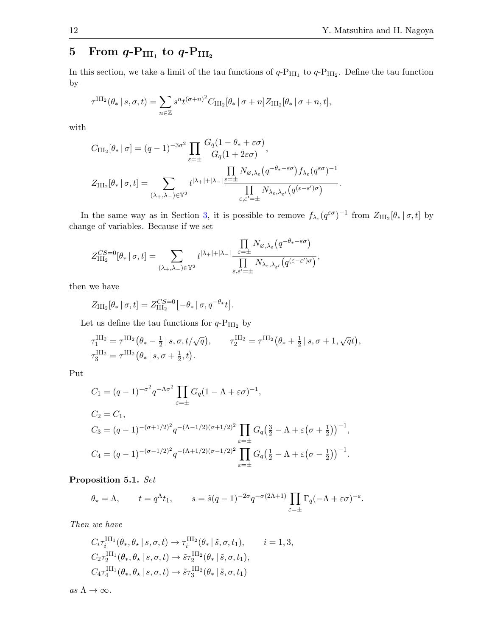# $5 \quad$  From  $q\text{-}P_{\rm III_1} \text{ to } q\text{-}P_{\rm III_2}$

In this section, we take a limit of the tau functions of  $q$ - $P_{III_1}$  to  $q$ - $P_{III_2}$ . Define the tau function by

$$
\tau^{\text{III}_2}(\theta_* \mid s, \sigma, t) = \sum_{n \in \mathbb{Z}} s^n t^{(\sigma + n)^2} C_{\text{III}_2}[\theta_* \mid \sigma + n] Z_{\text{III}_2}[\theta_* \mid \sigma + n, t],
$$

with

$$
C_{\text{III}_2}[\theta_* | \sigma] = (q-1)^{-3\sigma^2} \prod_{\varepsilon=\pm} \frac{G_q(1-\theta_*+\varepsilon\sigma)}{G_q(1+2\varepsilon\sigma)},
$$
  

$$
Z_{\text{III}_2}[\theta_* | \sigma, t] = \sum_{(\lambda_+, \lambda_-) \in \mathbb{Y}^2} t^{|\lambda_+|+|\lambda_-|} \frac{\prod_{\varepsilon=\pm} N_{\varnothing, \lambda_\varepsilon} (q^{-\theta_*-\varepsilon\sigma}) f_{\lambda_\varepsilon} (q^{\varepsilon\sigma})^{-1}}{\prod_{\varepsilon,\varepsilon'=\pm} N_{\lambda_\varepsilon, \lambda_{\varepsilon'}} (q^{(\varepsilon-\varepsilon')\sigma})}.
$$

In the same way as in Section [3,](#page-4-0) it is possible to remove  $f_{\lambda_{\varepsilon}}(q^{\varepsilon\sigma})^{-1}$  from  $Z_{\text{III}_2}[\theta_* | \sigma, t]$  by change of variables. Because if we set

$$
Z_{\text{III}_2}^{CS=0}[\theta_* | \sigma, t] = \sum_{(\lambda_+, \lambda_-) \in \mathbb{Y}^2} t^{|\lambda_+| + |\lambda_-|} \frac{\prod\limits_{\varepsilon = \pm} N_{\varnothing, \lambda_\varepsilon} (q^{-\theta_* - \varepsilon \sigma})}{\prod\limits_{\varepsilon, \varepsilon' = \pm} N_{\lambda_\varepsilon, \lambda_{\varepsilon'}} (q^{(\varepsilon - \varepsilon')\sigma})},
$$

then we have

$$
Z_{\mathrm{III}_2}[\theta_* | \sigma, t] = Z_{\mathrm{III}_2}^{CS=0}[-\theta_* | \sigma, q^{-\theta_*}t].
$$

Let us define the tau functions for  $q\text{-P}_{\rm III_2}$  by

$$
\tau_1^{\text{III}_2} = \tau^{\text{III}_2} (\theta_* - \frac{1}{2} | s, \sigma, t/\sqrt{q}), \qquad \tau_2^{\text{III}_2} = \tau^{\text{III}_2} (\theta_* + \frac{1}{2} | s, \sigma + 1, \sqrt{q}t),
$$
  

$$
\tau_3^{\text{III}_2} = \tau^{\text{III}_2} (\theta_* | s, \sigma + \frac{1}{2}, t).
$$

Put

$$
C_1 = (q-1)^{-\sigma^2} q^{-\Lambda \sigma^2} \prod_{\varepsilon = \pm} G_q (1 - \Lambda + \varepsilon \sigma)^{-1},
$$
  
\n
$$
C_2 = C_1,
$$
  
\n
$$
C_3 = (q-1)^{-(\sigma+1/2)^2} q^{-(\Lambda - 1/2)(\sigma+1/2)^2} \prod_{\varepsilon = \pm} G_q (\frac{3}{2} - \Lambda + \varepsilon (\sigma + \frac{1}{2}))^{-1},
$$
  
\n
$$
C_4 = (q-1)^{-(\sigma-1/2)^2} q^{-(\Lambda + 1/2)(\sigma - 1/2)^2} \prod_{\varepsilon = \pm} G_q (\frac{1}{2} - \Lambda + \varepsilon (\sigma - \frac{1}{2}))^{-1}.
$$

Proposition 5.1. Set

$$
\theta_{\star} = \Lambda
$$
,  $t = q^{\Lambda}t_1$ ,  $s = \tilde{s}(q-1)^{-2\sigma}q^{-\sigma(2\Lambda+1)}\prod_{\varepsilon=\pm} \Gamma_q(-\Lambda + \varepsilon\sigma)^{-\varepsilon}$ .

Then we have

$$
C_i \tau_i^{\text{III}_1}(\theta_*, \theta_* | s, \sigma, t) \to \tau_i^{\text{III}_2}(\theta_* | \tilde{s}, \sigma, t_1), \qquad i = 1, 3,
$$
  
\n
$$
C_2 \tau_2^{\text{III}_1}(\theta_*, \theta_* | s, \sigma, t) \to \tilde{s} \tau_2^{\text{III}_2}(\theta_* | \tilde{s}, \sigma, t_1),
$$
  
\n
$$
C_4 \tau_4^{\text{III}_1}(\theta_*, \theta_* | s, \sigma, t) \to \tilde{s} \tau_3^{\text{III}_2}(\theta_* | \tilde{s}, \sigma, t_1)
$$

as  $\Lambda \to \infty$ .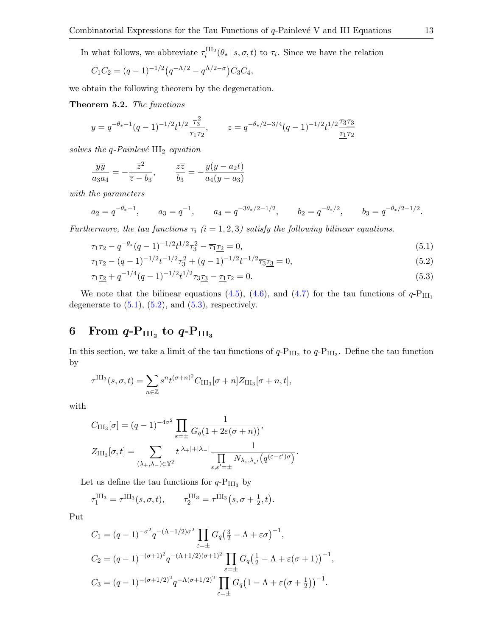In what follows, we abbreviate  $\tau_i^{\text{III}_2}(\theta_* | s, \sigma, t)$  to  $\tau_i$ . Since we have the relation

$$
C_1C_2 = (q-1)^{-1/2}(q^{-\Lambda/2} - q^{\Lambda/2-\sigma})C_3C_4,
$$

we obtain the following theorem by the degeneration.

Theorem 5.2. The functions

$$
y = q^{-\theta_*-1}(q-1)^{-1/2}t^{1/2}\frac{\tau_3^2}{\tau_1\tau_2},
$$
  $z = q^{-\theta_*/2-3/4}(q-1)^{-1/2}t^{1/2}\frac{\tau_3\tau_3}{\tau_1\tau_2}$ 

solves the q-Painlevé  $III<sub>2</sub>$  equation

$$
\frac{y\overline{y}}{a_3a_4} = -\frac{\overline{z}^2}{\overline{z} - b_3}, \qquad \frac{z\overline{z}}{b_3} = -\frac{y(y - a_2t)}{a_4(y - a_3)}
$$

with the parameters

$$
a_2 = q^{-\theta_* - 1}
$$
,  $a_3 = q^{-1}$ ,  $a_4 = q^{-3\theta_*/2 - 1/2}$ ,  $b_2 = q^{-\theta_*/2}$ ,  $b_3 = q^{-\theta_*/2 - 1/2}$ .

Furthermore, the tau functions  $\tau_i$  (i = 1, 2, 3) satisfy the following bilinear equations.

<span id="page-12-2"></span><span id="page-12-1"></span>
$$
\tau_1 \tau_2 - q^{-\theta_*} (q-1)^{-1/2} t^{1/2} \tau_3^2 - \overline{\tau_1} \underline{\tau_2} = 0,
$$
\n(5.1)

<span id="page-12-3"></span>
$$
\tau_1 \tau_2 - (q-1)^{-1/2} t^{-1/2} \tau_3^2 + (q-1)^{-1/2} t^{-1/2} \overline{\tau_3} \underline{\tau_3} = 0,\tag{5.2}
$$

$$
\tau_1 \underline{\tau_2} + q^{-1/4} (q-1)^{-1/2} t^{1/2} \tau_3 \underline{\tau_3} - \underline{\tau_1} \tau_2 = 0. \tag{5.3}
$$

We note that the bilinear equations [\(4.5\)](#page-9-2), [\(4.6\)](#page-9-6), and [\(4.7\)](#page-9-4) for the tau functions of  $q$ - $P_{III_1}$ degenerate to  $(5.1)$ ,  $(5.2)$ , and  $(5.3)$ , respectively.

# <span id="page-12-0"></span>6 From  $q\text{-P}_{\rm III_2}$  to  $q\text{-P}_{\rm III_3}$

In this section, we take a limit of the tau functions of  $q$ - $P_{III_2}$  to  $q$ - $P_{III_3}$ . Define the tau function by

$$
\tau^{\text{III}_3}(s,\sigma,t) = \sum_{n \in \mathbb{Z}} s^n t^{(\sigma+n)^2} C_{\text{III}_3}[\sigma+n] Z_{\text{III}_3}[\sigma+n,t],
$$

with

$$
C_{\text{III}_3}[\sigma] = (q-1)^{-4\sigma^2} \prod_{\varepsilon=\pm} \frac{1}{G_q(1+2\varepsilon(\sigma+n))},
$$
  

$$
Z_{\text{III}_3}[\sigma, t] = \sum_{(\lambda_+, \lambda_-) \in \mathbb{Y}^2} t^{|\lambda_+|+|\lambda_-|} \frac{1}{\prod_{\varepsilon, \varepsilon' = \pm} N_{\lambda_{\varepsilon}, \lambda_{\varepsilon'}} \left( q^{(\varepsilon-\varepsilon')\sigma} \right)}.
$$

Let us define the tau functions for  $q\text{-P}_{\rm III_3}$  by

$$
\tau_1^{\text{III}_3} = \tau^{\text{III}_3}(s, \sigma, t), \qquad \tau_2^{\text{III}_3} = \tau^{\text{III}_3}(s, \sigma + \frac{1}{2}, t).
$$

Put

$$
C_1 = (q-1)^{-\sigma^2} q^{-(\Lambda - 1/2)\sigma^2} \prod_{\varepsilon = \pm} G_q \left(\frac{3}{2} - \Lambda + \varepsilon \sigma\right)^{-1},
$$
  
\n
$$
C_2 = (q-1)^{-(\sigma+1)^2} q^{-(\Lambda + 1/2)(\sigma+1)^2} \prod_{\varepsilon = \pm} G_q \left(\frac{1}{2} - \Lambda + \varepsilon(\sigma+1)\right)^{-1},
$$
  
\n
$$
C_3 = (q-1)^{-(\sigma+1/2)^2} q^{-\Lambda(\sigma+1/2)^2} \prod_{\varepsilon = \pm} G_q \left(1 - \Lambda + \varepsilon(\sigma + \frac{1}{2})\right)^{-1}.
$$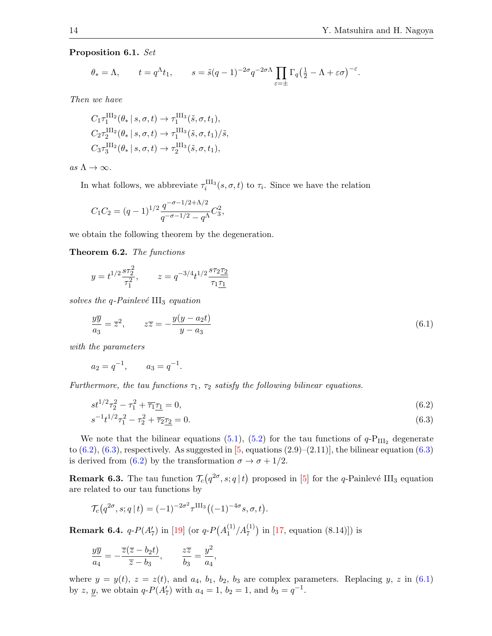#### Proposition 6.1. Set

$$
\theta_* = \Lambda
$$
,  $t = q^{\Lambda} t_1$ ,  $s = \tilde{s}(q-1)^{-2\sigma} q^{-2\sigma \Lambda} \prod_{\varepsilon = \pm} \Gamma_q \left(\frac{1}{2} - \Lambda + \varepsilon \sigma\right)^{-\varepsilon}$ .

Then we have

$$
C_1 \tau_1^{\text{III}_2}(\theta_* | s, \sigma, t) \to \tau_1^{\text{III}_3}(\tilde{s}, \sigma, t_1),
$$
  
\n
$$
C_2 \tau_2^{\text{III}_2}(\theta_* | s, \sigma, t) \to \tau_1^{\text{III}_3}(\tilde{s}, \sigma, t_1)/\tilde{s},
$$
  
\n
$$
C_3 \tau_3^{\text{III}_2}(\theta_* | s, \sigma, t) \to \tau_2^{\text{III}_3}(\tilde{s}, \sigma, t_1),
$$

as  $\Lambda \to \infty$ .

In what follows, we abbreviate  $\tau_i^{\text{III}_3}(s, \sigma, t)$  to  $\tau_i$ . Since we have the relation

$$
C_1C_2 = (q-1)^{1/2} \frac{q^{-\sigma - 1/2 + \Lambda/2}}{q^{-\sigma - 1/2} - q^{\Lambda}} C_3^2,
$$

we obtain the following theorem by the degeneration.

Theorem 6.2. The functions

$$
y = t^{1/2} \frac{s \tau_2^2}{\tau_1^2}
$$
,  $z = q^{-3/4} t^{1/2} \frac{s \tau_2 \tau_2}{\tau_1 \tau_1}$ 

solves the q-Painlevé  $III<sub>3</sub>$  equation

<span id="page-13-2"></span>
$$
\frac{y\overline{y}}{a_3} = \overline{z}^2, \qquad z\overline{z} = -\frac{y(y - a_2t)}{y - a_3} \tag{6.1}
$$

with the parameters

$$
a_2 = q^{-1}, \qquad a_3 = q^{-1}.
$$

Furthermore, the tau functions  $\tau_1$ ,  $\tau_2$  satisfy the following bilinear equations.

<span id="page-13-0"></span>
$$
st^{1/2}\tau_2^2 - \tau_1^2 + \overline{\tau_1}\underline{\tau_1} = 0,\tag{6.2}
$$

<span id="page-13-1"></span>
$$
s^{-1}t^{1/2}\tau_1^2 - \tau_2^2 + \overline{\tau_2}\tau_2 = 0.\tag{6.3}
$$

We note that the bilinear equations [\(5.1\)](#page-12-1), [\(5.2\)](#page-12-2) for the tau functions of  $q\text{-P}_{\text{III}_2}$  degenerate to  $(6.2)$ ,  $(6.3)$ , respectively. As suggested in  $[5,$  equations  $(2.9)$ – $(2.11)$ ], the bilinear equation  $(6.3)$ is derived from [\(6.2\)](#page-13-0) by the transformation  $\sigma \to \sigma + 1/2$ .

**Remark 6.3.** The tau function  $\mathcal{T}_c(q^{2\sigma}, s; q | t)$  proposed in [\[5\]](#page-15-2) for the q-Painlevé III<sub>3</sub> equation are related to our tau functions by

$$
\mathcal{T}_c(q^{2\sigma}, s; q | t) = (-1)^{-2\sigma^2} \tau^{\text{III}_3} ((-1)^{-4\sigma} s, \sigma, t).
$$

Remark 6.4.  $q$ - $P(A'_7)$  in [\[19\]](#page-16-12) (or  $q$ - $P(A_1^{(1)}$  $\binom{1}{1}$ /A $\binom{1}{7}$  in [\[17,](#page-16-0) equation (8.14)]) is

$$
\frac{y\overline{y}}{a_4} = -\frac{\overline{z}(\overline{z} - b_2t)}{\overline{z} - b_3}, \qquad \frac{z\overline{z}}{b_3} = \frac{y^2}{a_4},
$$

where  $y = y(t)$ ,  $z = z(t)$ , and  $a_4$ ,  $b_1$ ,  $b_2$ ,  $b_3$  are complex parameters. Replacing y, z in [\(6.1\)](#page-13-2) by z, y, we obtain  $q$ - $P(A'_7)$  with  $a_4 = 1$ ,  $b_2 = 1$ , and  $b_3 = q^{-1}$ .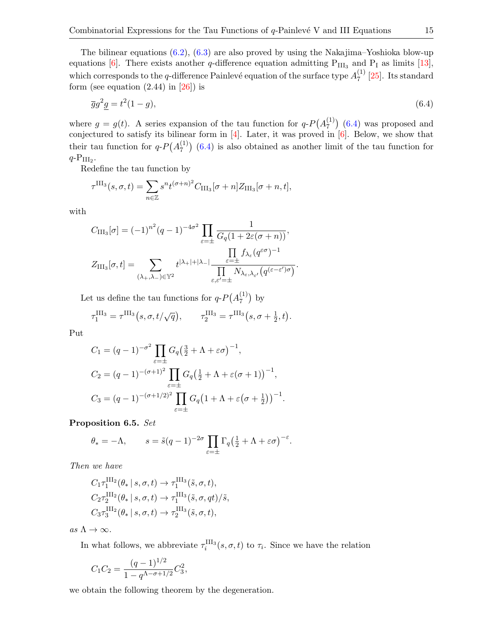<span id="page-14-0"></span>
$$
\overline{g}g^2\underline{g} = t^2(1-g),\tag{6.4}
$$

where  $g = g(t)$ . A series expansion of the tau function for  $q \cdot P(A_7^{(1)})$  $\binom{11}{7}$  [\(6.4\)](#page-14-0) was proposed and conjectured to satisfy its bilinear form in  $[4]$ . Later, it was proved in  $[6]$ . Below, we show that their tau function for  $q \cdot P(A_7^{(1)})$  $\binom{11}{7}$  [\(6.4\)](#page-14-0) is also obtained as another limit of the tau function for  $q$ - $P_{III_2}$ .

Redefine the tau function by

$$
\tau^{\text{III}_3}(s,\sigma,t) = \sum_{n \in \mathbb{Z}} s^n t^{(\sigma+n)^2} C_{\text{III}_3}[\sigma+n] Z_{\text{III}_3}[\sigma+n,t],
$$

with

$$
C_{\text{III}_3}[\sigma] = (-1)^{n^2} (q-1)^{-4\sigma^2} \prod_{\varepsilon=\pm} \frac{1}{G_q(1+2\varepsilon(\sigma+n))},
$$
  

$$
Z_{\text{III}_3}[\sigma, t] = \sum_{(\lambda_+, \lambda_-) \in \mathbb{Y}^2} t^{|\lambda_+|+|\lambda_-|} \frac{\prod_{\varepsilon=\pm} f_{\lambda_\varepsilon}(q^{\varepsilon\sigma})^{-1}}{\prod_{\varepsilon,\varepsilon'= \pm} N_{\lambda_\varepsilon, \lambda_{\varepsilon'}}(q^{(\varepsilon-\varepsilon')\sigma})}.
$$

Let us define the tau functions for  $q$ - $P(A_7^{(1)})$  $\binom{1}{7}$  by

$$
\tau_1^{\text{III}_3} = \tau^{\text{III}_3}(s, \sigma, t/\sqrt{q}), \qquad \tau_2^{\text{III}_3} = \tau^{\text{III}_3}(s, \sigma + \frac{1}{2}, t).
$$

Put

$$
C_1 = (q - 1)^{-\sigma^2} \prod_{\varepsilon = \pm} G_q \left(\frac{3}{2} + \Lambda + \varepsilon \sigma\right)^{-1},
$$
  
\n
$$
C_2 = (q - 1)^{-(\sigma + 1)^2} \prod_{\varepsilon = \pm} G_q \left(\frac{1}{2} + \Lambda + \varepsilon (\sigma + 1)\right)^{-1},
$$
  
\n
$$
C_3 = (q - 1)^{-(\sigma + 1/2)^2} \prod_{\varepsilon = \pm} G_q \left(1 + \Lambda + \varepsilon (\sigma + \frac{1}{2})\right)^{-1}.
$$

Proposition 6.5. Set

$$
\theta_* = -\Lambda
$$
,  $s = \tilde{s}(q-1)^{-2\sigma} \prod_{\varepsilon = \pm} \Gamma_q \left(\frac{1}{2} + \Lambda + \varepsilon \sigma\right)^{-\varepsilon}$ .

Then we have

$$
C_1 \tau_1^{\text{III}_2}(\theta_* | s, \sigma, t) \to \tau_1^{\text{III}_3}(\tilde{s}, \sigma, t),
$$
  
\n
$$
C_2 \tau_2^{\text{III}_2}(\theta_* | s, \sigma, t) \to \tau_1^{\text{III}_3}(\tilde{s}, \sigma, qt)/\tilde{s},
$$
  
\n
$$
C_3 \tau_3^{\text{III}_2}(\theta_* | s, \sigma, t) \to \tau_2^{\text{III}_3}(\tilde{s}, \sigma, t),
$$

as  $\Lambda \to \infty$ .

In what follows, we abbreviate  $\tau_i^{\text{III}_3}(s, \sigma, t)$  to  $\tau_i$ . Since we have the relation

$$
C_1C_2 = \frac{(q-1)^{1/2}}{1-q^{\Lambda-\sigma+1/2}}C_3^2,
$$

we obtain the following theorem by the degeneration.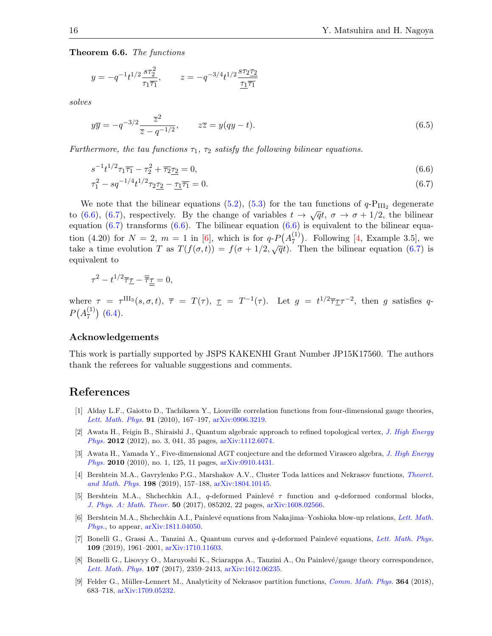Theorem 6.6. The functions

$$
y = -q^{-1}t^{1/2}\frac{s\tau_2^2}{\tau_1\overline{\tau_1}},
$$
  $z = -q^{-3/4}t^{1/2}\frac{s\tau_2\overline{\tau_2}}{\underline{\tau_1}\overline{\tau_1}}$ 

solves

$$
y\overline{y} = -q^{-3/2} \frac{\overline{z}^2}{\overline{z} - q^{-1/2}}, \qquad z\overline{z} = y(qy - t).
$$
 (6.5)

Furthermore, the tau functions  $\tau_1$ ,  $\tau_2$  satisfy the following bilinear equations.

<span id="page-15-10"></span><span id="page-15-9"></span>
$$
s^{-1}t^{1/2}\tau_1\overline{\tau_1} - \tau_2^2 + \overline{\tau_2}\underline{\tau_2} = 0,\tag{6.6}
$$

$$
\tau_1^2 - s q^{-1/4} t^{1/2} \tau_2 \underline{\tau_2} - \underline{\tau_1} \overline{\tau_1} = 0. \tag{6.7}
$$

We note that the bilinear equations [\(5.2\)](#page-12-2), [\(5.3\)](#page-12-3) for the tau functions of  $q\text{-P}_{\text{III}_2}$  degenerate to [\(6.6\)](#page-15-9), [\(6.7\)](#page-15-10), respectively. By the change of variables  $t \to \sqrt{q}t$ ,  $\sigma \to \sigma + 1/2$ , the bilinear equation [\(6.7\)](#page-15-10) transforms [\(6.6\)](#page-15-9). The bilinear equation  $(6.6)$  is equivalent to the bilinear equation (4.20) for  $N = 2$ ,  $m = 1$  in [\[6\]](#page-15-3), which is for  $q \cdot P(A_7^{(1)})$  $\binom{11}{7}$ . Following [\[4,](#page-15-6) Example 3.5], we take a time evolution T as  $T(f(\sigma,t)) = f(\sigma + 1/2, \sqrt{q}t)$ . Then the bilinear equation [\(6.7\)](#page-15-10) is equivalent to

$$
\tau^2 - t^{1/2}\overline{\tau}\underline{\tau} - \overline{\overline{\tau}}\underline{\underline{\tau}} = 0,
$$

where  $\tau = \tau^{\text{III}_3}(s, \sigma, t)$ ,  $\overline{\tau} = T(\tau)$ ,  $\underline{\tau} = T^{-1}(\tau)$ . Let  $g = t^{1/2} \overline{\tau} \underline{\tau} \tau^{-2}$ , then g satisfies q- $P(A_7^{(1)}$  $\binom{11}{7}$  [\(6.4\)](#page-14-0).

#### Acknowledgements

This work is partially supported by JSPS KAKENHI Grant Number JP15K17560. The authors thank the referees for valuable suggestions and comments.

### References

- <span id="page-15-0"></span>[1] Alday L.F., Gaiotto D., Tachikawa Y., Liouville correlation functions from four-dimensional gauge theories, [Lett. Math. Phys.](https://doi.org/10.1007/s11005-010-0369-5) 91 (2010), 167–197, [arXiv:0906.3219.](https://arxiv.org/abs/0906.3219)
- <span id="page-15-7"></span>[2] Awata H., Feigin B., Shiraishi J., Quantum algebraic approach to refined topological vertex, [J. High Energy](https://doi.org/10.1007/JHEP03(2012)041) [Phys.](https://doi.org/10.1007/JHEP03(2012)041) 2012 (2012), no. 3, 041, 35 pages, [arXiv:1112.6074.](https://arxiv.org/abs/1112.6074)
- <span id="page-15-4"></span>[3] Awata H., Yamada Y., Five-dimensional AGT conjecture and the deformed Virasoro algebra, [J. High Energy](https://doi.org/10.1007/JHEP01(2010)125) [Phys.](https://doi.org/10.1007/JHEP01(2010)125) 2010 (2010), no. 1, 125, 11 pages, [arXiv:0910.4431.](https://arxiv.org/abs/0910.4431)
- <span id="page-15-6"></span>[4] Bershtein M.A., Gavrylenko P.G., Marshakov A.V., Cluster Toda lattices and Nekrasov functions, [Theoret.](https://doi.org/10.1134/S0040577919020016) [and Math. Phys.](https://doi.org/10.1134/S0040577919020016) 198 (2019), 157–188, [arXiv:1804.10145.](https://arxiv.org/abs/1804.10145)
- <span id="page-15-2"></span>[5] Bershtein M.A., Shchechkin A.I., q-deformed Painlevé  $\tau$  function and q-deformed conformal blocks, [J. Phys. A: Math. Theor.](https://doi.org/10.1088/1751-8121/aa5572) 50 (2017), 085202, 22 pages, [arXiv:1608.02566.](https://arxiv.org/abs/1608.02566)
- <span id="page-15-3"></span>[6] Bershtein M.A., Shchechkin A.I., Painlevé equations from Nakajima–Yoshioka blow-up relations, [Lett. Math.](https://doi.org/10.1007/s11005-019-01198-4) [Phys.](https://doi.org/10.1007/s11005-019-01198-4), to appear, [arXiv:1811.04050.](https://arxiv.org/abs/1811.04050)
- <span id="page-15-5"></span>[7] Bonelli G., Grassi A., Tanzini A., Quantum curves and q-deformed Painlevé equations, [Lett. Math. Phys.](https://doi.org/10.1007/s11005-019-01174-y) 109 (2019), 1961–2001, [arXiv:1710.11603.](https://arxiv.org/abs/1710.11603)
- <span id="page-15-1"></span>[8] Bonelli G., Lisovyy O., Maruyoshi K., Sciarappa A., Tanzini A., On Painlevé/gauge theory correspondence, [Lett. Math. Phys.](https://doi.org/10.1007/s11005-017-0983-6) 107 (2017), 2359–2413, [arXiv:1612.06235.](https://arxiv.org/abs/1612.06235)
- <span id="page-15-8"></span>[9] Felder G., Müller-Lennert M., Analyticity of Nekrasov partition functions, *[Comm. Math. Phys.](https://doi.org/10.1007/s00220-018-3270-1)* **364** (2018), 683–718, [arXiv:1709.05232.](https://arxiv.org/abs/1709.05232)